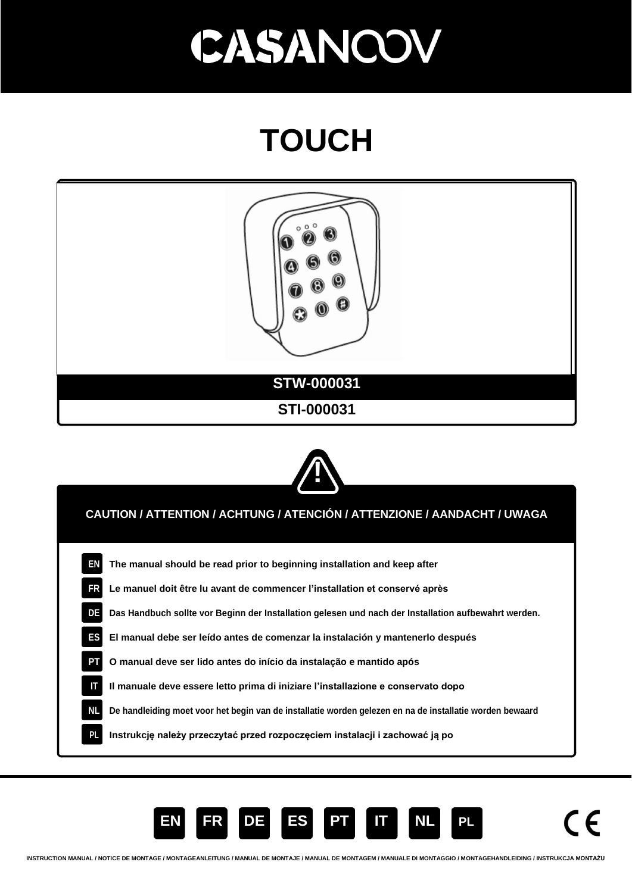### **TOUCH**







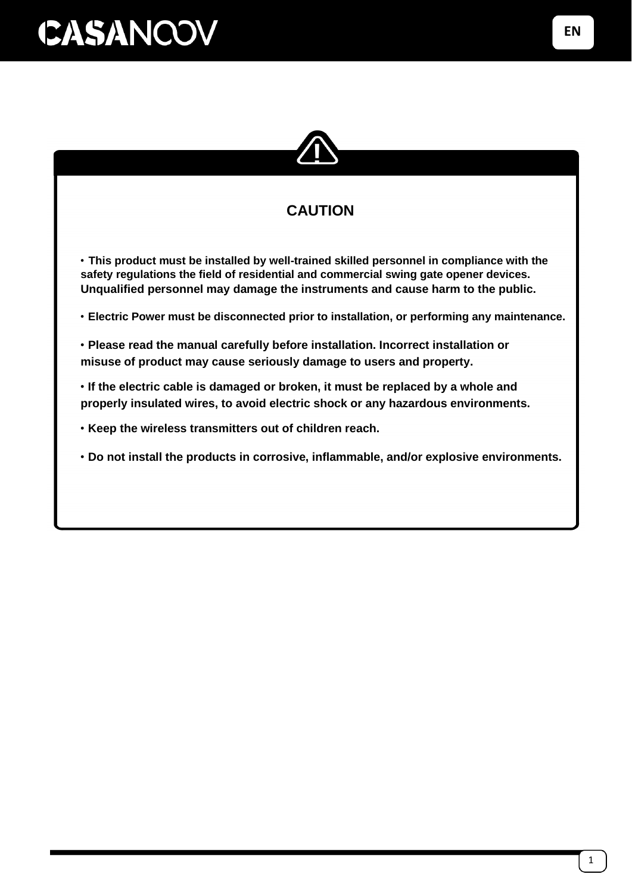

### **CAUTION**

• **This product must be installed by well-trained skilled personnel in compliance with the safety regulations the field of residential and commercial swing gate opener devices. Unqualified personnel may damage the instruments and cause harm to the public.**

• **Electric Power must be disconnected prior to installation, or performing any maintenance.**

• **Please read the manual carefully before installation. Incorrect installation or misuse of product may cause seriously damage to users and property.**

• **If the electric cable is damaged or broken, it must be replaced by a whole and properly insulated wires, to avoid electric shock or any hazardous environments.**

• **Keep the wireless transmitters out of children reach.**

• **Do not install the products in corrosive, inflammable, and/or explosive environments.**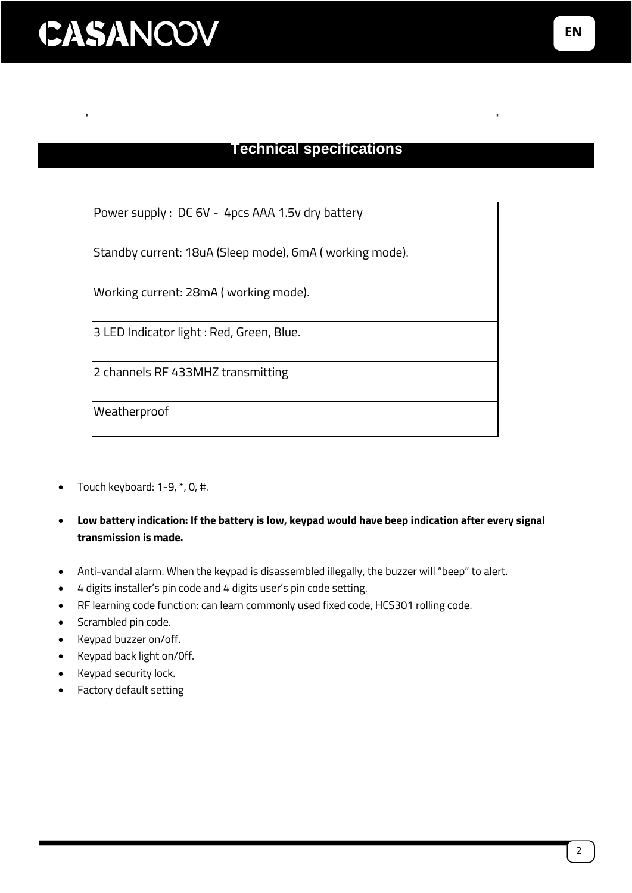#### **Technical specifications**

Power supply : DC 6V - 4pcs AAA 1.5v dry battery

Standby current: 18uA (Sleep mode), 6mA ( working mode).

Working current: 28mA ( working mode).

3 LED Indicator light : Red, Green, Blue.

2 channels RF 433MHZ transmitting

**Weatherproof** 

- Touch keyboard: 1-9, \*, 0, #.
- **Low battery indication: If the battery is low, keypad would have beep indication after every signal transmission is made.**
- Anti-vandal alarm. When the keypad is disassembled illegally, the buzzer will "beep" to alert.
- 4 digits installer's pin code and 4 digits user's pin code setting.
- RF learning code function: can learn commonly used fixed code, HCS301 rolling code.
- Scrambled pin code.
- Keypad buzzer on/off.
- Keypad back light on/0ff.
- Keypad security lock.
- Factory default setting

**EN**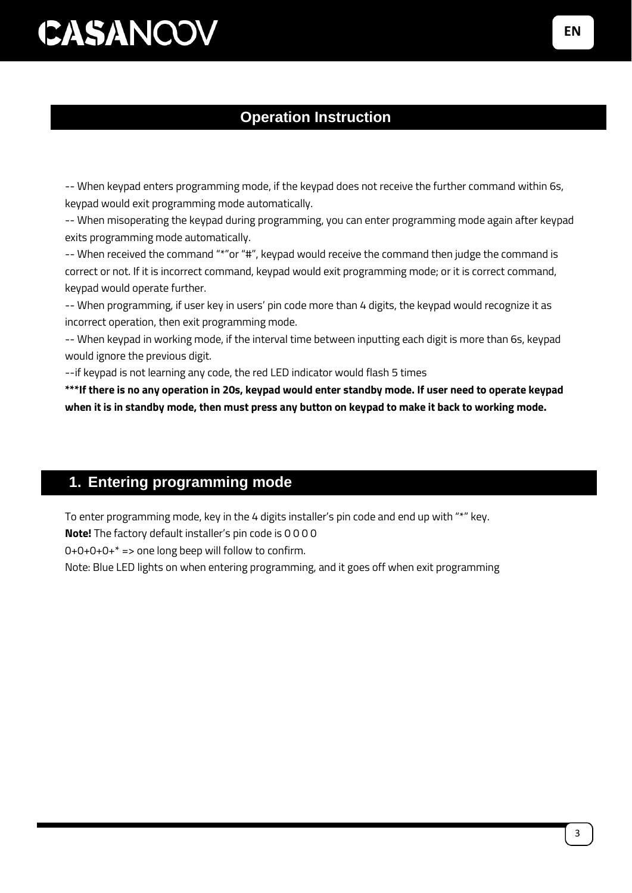#### **Operation Instruction**

-- When keypad enters programming mode, if the keypad does not receive the further command within 6s, keypad would exit programming mode automatically.

-- When misoperating the keypad during programming, you can enter programming mode again after keypad exits programming mode automatically.

-- When received the command "\*"or "#", keypad would receive the command then judge the command is correct or not. If it is incorrect command, keypad would exit programming mode; or it is correct command, keypad would operate further.

-- When programming, if user key in users' pin code more than 4 digits, the keypad would recognize it as incorrect operation, then exit programming mode.

-- When keypad in working mode, if the interval time between inputting each digit is more than 6s, keypad would ignore the previous digit.

--if keypad is not learning any code, the red LED indicator would flash 5 times

**\*\*\*If there is no any operation in 20s, keypad would enter standby mode. If user need to operate keypad when it is in standby mode, then must press any button on keypad to make it back to working mode.**

#### **1. Entering programming mode**

To enter programming mode, key in the 4 digits installer's pin code and end up with "\*" key.

**Note!** The factory default installer's pin code is 0 0 0 0

 $0+0+0+0+^*$  => one long beep will follow to confirm.

Note: Blue LED lights on when entering programming, and it goes off when exit programming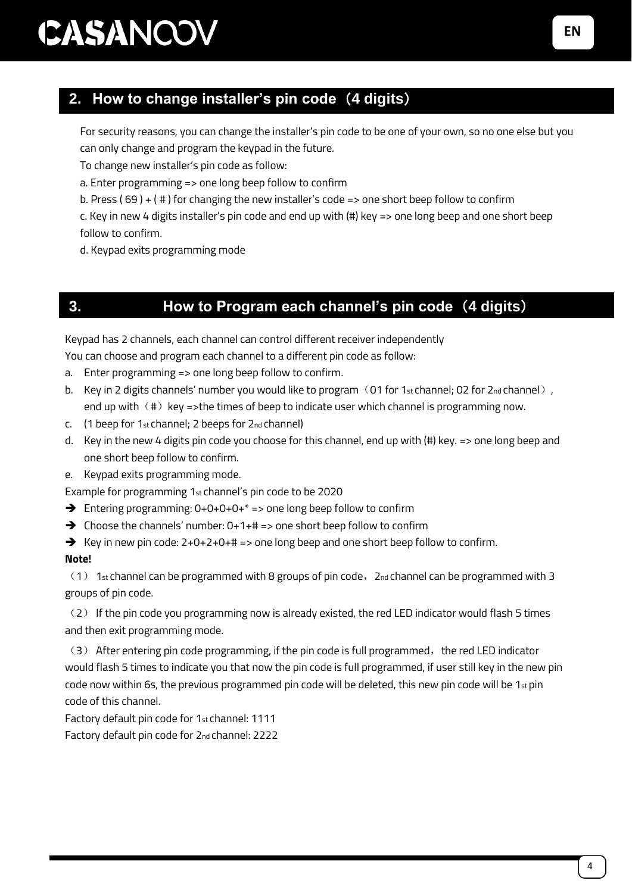### **2. How to change installer's pin code**(**4 digits**)

For security reasons, you can change the installer's pin code to be one of your own, so no one else but you can only change and program the keypad in the future.

To change new installer's pin code as follow:

a. Enter programming => one long beep follow to confirm

b. Press ( 69 ) + ( # ) for changing the new installer's code => one short beep follow to confirm

c. Key in new 4 digits installer's pin code and end up with (#) key => one long beep and one short beep follow to confirm.

d. Keypad exits programming mode

### **3. How to Program each channel's pin code**(**4 digits**)

Keypad has 2 channels, each channel can control different receiver independently

You can choose and program each channel to a different pin code as follow:

- a. Enter programming => one long beep follow to confirm.
- b. Key in 2 digits channels' number you would like to program (01 for 1st channel; 02 for 2nd channel), end up with  $(\#)$  key =>the times of beep to indicate user which channel is programming now.
- c. (1 beep for 1st channel; 2 beeps for 2nd channel)
- d. Key in the new 4 digits pin code you choose for this channel, end up with (#) key. => one long beep and one short beep follow to confirm.
- e. Keypad exits programming mode.

Example for programming 1st channel's pin code to be 2020

- $\rightarrow$  Entering programming: 0+0+0+0+ $*$  => one long beep follow to confirm
- ➔ Choose the channels' number: 0+1+# => one short beep follow to confirm

 $\rightarrow$  Key in new pin code: 2+0+2+0+# => one long beep and one short beep follow to confirm. **Note!** 

 $(1)$  1st channel can be programmed with 8 groups of pin code,  $2n$  channel can be programmed with 3 groups of pin code.

(2) If the pin code you programming now is already existed, the red LED indicator would flash 5 times and then exit programming mode.

 $(3)$  After entering pin code programming, if the pin code is full programmed, the red LED indicator would flash 5 times to indicate you that now the pin code is full programmed, if user still key in the new pin code now within 6s, the previous programmed pin code will be deleted, this new pin code will be 1st pin code of this channel.

Factory default pin code for 1st channel: 1111

Factory default pin code for 2nd channel: 2222

**EN**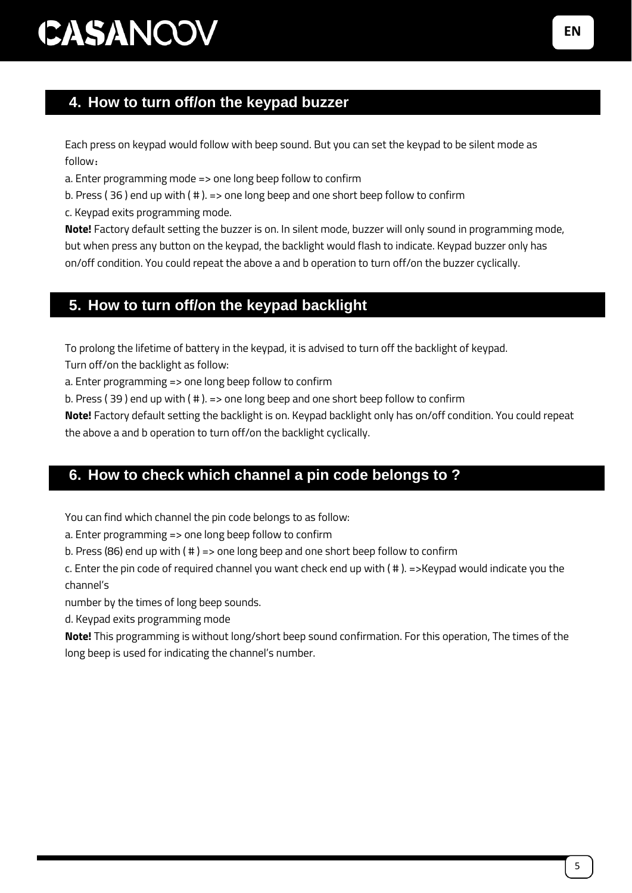### **4. How to turn off/on the keypad buzzer**

Each press on keypad would follow with beep sound. But you can set the keypad to be silent mode as follow:

a. Enter programming mode => one long beep follow to confirm

b. Press ( 36 ) end up with ( # ). => one long beep and one short beep follow to confirm

c. Keypad exits programming mode.

**Note!** Factory default setting the buzzer is on. In silent mode, buzzer will only sound in programming mode, but when press any button on the keypad, the backlight would flash to indicate. Keypad buzzer only has on/off condition. You could repeat the above a and b operation to turn off/on the buzzer cyclically.

### **5. How to turn off/on the keypad backlight**

To prolong the lifetime of battery in the keypad, it is advised to turn off the backlight of keypad.

Turn off/on the backlight as follow:

a. Enter programming => one long beep follow to confirm

b. Press ( 39 ) end up with ( # ). => one long beep and one short beep follow to confirm

**Note!** Factory default setting the backlight is on. Keypad backlight only has on/off condition. You could repeat the above a and b operation to turn off/on the backlight cyclically.

### **6. How to check which channel a pin code belongs to ?**

You can find which channel the pin code belongs to as follow:

a. Enter programming => one long beep follow to confirm

b. Press (86) end up with ( # ) => one long beep and one short beep follow to confirm

c. Enter the pin code of required channel you want check end up with ( # ). =>Keypad would indicate you the channel's

number by the times of long beep sounds.

d. Keypad exits programming mode

**Note!** This programming is without long/short beep sound confirmation. For this operation, The times of the long beep is used for indicating the channel's number.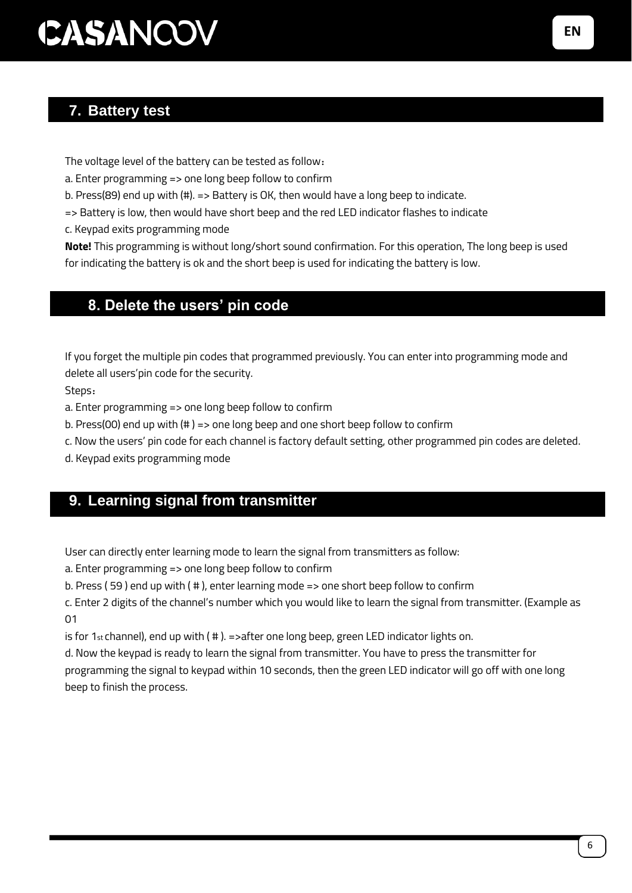### **7. Battery test**

The voltage level of the battery can be tested as follow:

a. Enter programming => one long beep follow to confirm

b. Press(89) end up with (#). => Battery is OK, then would have a long beep to indicate.

=> Battery is low, then would have short beep and the red LED indicator flashes to indicate

c. Keypad exits programming mode

**Note!** This programming is without long/short sound confirmation. For this operation, The long beep is used for indicating the battery is ok and the short beep is used for indicating the battery is low.

#### 8. **8. Delete the users' pin code**

If you forget the multiple pin codes that programmed previously. You can enter into programming mode and delete all users'pin code for the security.

Steps:

a. Enter programming => one long beep follow to confirm

b. Press(00) end up with (# ) => one long beep and one short beep follow to confirm

c. Now the users' pin code for each channel is factory default setting, other programmed pin codes are deleted.

d. Keypad exits programming mode

### **9. Learning signal from transmitter**

User can directly enter learning mode to learn the signal from transmitters as follow:

a. Enter programming => one long beep follow to confirm

b. Press ( 59 ) end up with ( # ), enter learning mode => one short beep follow to confirm

c. Enter 2 digits of the channel's number which you would like to learn the signal from transmitter. (Example as 01

is for 1st channel), end up with  $( # )$ . =>after one long beep, green LED indicator lights on.

d. Now the keypad is ready to learn the signal from transmitter. You have to press the transmitter for programming the signal to keypad within 10 seconds, then the green LED indicator will go off with one long beep to finish the process.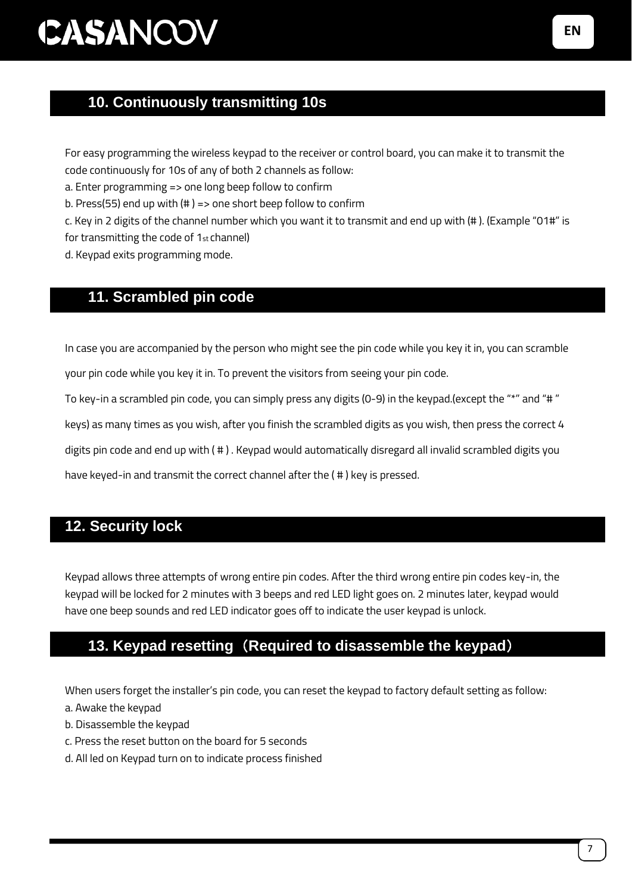### 10. **10. Continuously transmitting 10s**

For easy programming the wireless keypad to the receiver or control board, you can make it to transmit the code continuously for 10s of any of both 2 channels as follow:

a. Enter programming => one long beep follow to confirm

b. Press(55) end up with (# ) => one short beep follow to confirm

c. Key in 2 digits of the channel number which you want it to transmit and end up with (# ). (Example "01#" is for transmitting the code of 1st channel)

d. Keypad exits programming mode.

#### 11. **11. Scrambled pin code**

In case you are accompanied by the person who might see the pin code while you key it in, you can scramble your pin code while you key it in. To prevent the visitors from seeing your pin code.

To key-in a scrambled pin code, you can simply press any digits (0-9) in the keypad.(except the "\*" and "# "

keys) as many times as you wish, after you finish the scrambled digits as you wish, then press the correct 4

digits pin code and end up with ( # ) . Keypad would automatically disregard all invalid scrambled digits you

have keyed-in and transmit the correct channel after the ( # ) key is pressed.

#### **12. Security lock**

Keypad allows three attempts of wrong entire pin codes. After the third wrong entire pin codes key-in, the keypad will be locked for 2 minutes with 3 beeps and red LED light goes on. 2 minutes later, keypad would have one beep sounds and red LED indicator goes off to indicate the user keypad is unlock.

### 12. **13. Keypad resetting**(**Required to disassemble the keypad**)

When users forget the installer's pin code, you can reset the keypad to factory default setting as follow:

- a. Awake the keypad
- b. Disassemble the keypad
- c. Press the reset button on the board for 5 seconds
- d. All led on Keypad turn on to indicate process finished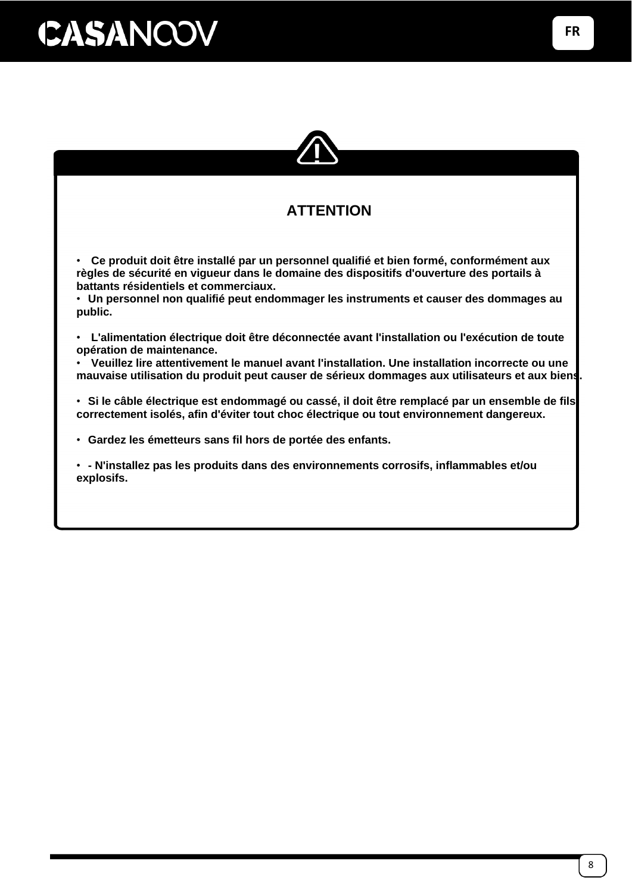

### **ATTENTION**

• **Ce produit doit être installé par un personnel qualifié et bien formé, conformément aux règles de sécurité en vigueur dans le domaine des dispositifs d'ouverture des portails à battants résidentiels et commerciaux.**

• **Un personnel non qualifié peut endommager les instruments et causer des dommages au public.**

• **L'alimentation électrique doit être déconnectée avant l'installation ou l'exécution de toute opération de maintenance.**

• **Veuillez lire attentivement le manuel avant l'installation. Une installation incorrecte ou une mauvaise utilisation du produit peut causer de sérieux dommages aux utilisateurs et aux biens.**

• **Si le câble électrique est endommagé ou cassé, il doit être remplacé par un ensemble de fils correctement isolés, afin d'éviter tout choc électrique ou tout environnement dangereux.**

• **Gardez les émetteurs sans fil hors de portée des enfants.**

• **- N'installez pas les produits dans des environnements corrosifs, inflammables et/ou explosifs.**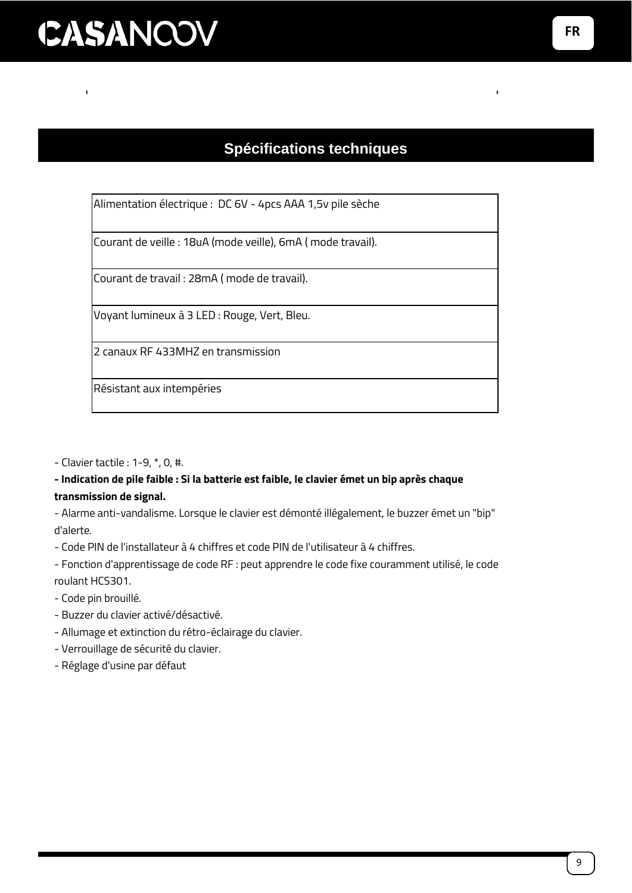### **Spécifications techniques**

Alimentation électrique : DC 6V - 4pcs AAA 1,5v pile sèche

Courant de veille : 18uA (mode veille), 6mA ( mode travail).

Courant de travail : 28mA ( mode de travail).

Voyant lumineux à 3 LED : Rouge, Vert, Bleu.

2 canaux RF 433MHZ en transmission

Résistant aux intempéries

- Clavier tactile : 1-9, \*, 0, #.

#### **- Indication de pile faible : Si la batterie est faible, le clavier émet un bip après chaque transmission de signal.**

- Alarme anti-vandalisme. Lorsque le clavier est démonté illégalement, le buzzer émet un "bip" d'alerte.

- Code PIN de l'installateur à 4 chiffres et code PIN de l'utilisateur à 4 chiffres.

- Fonction d'apprentissage de code RF : peut apprendre le code fixe couramment utilisé, le code roulant HCS301.

- Code pin brouillé.
- Buzzer du clavier activé/désactivé.
- Allumage et extinction du rétro-éclairage du clavier.
- Verrouillage de sécurité du clavier.
- Réglage d'usine par défaut

**FR**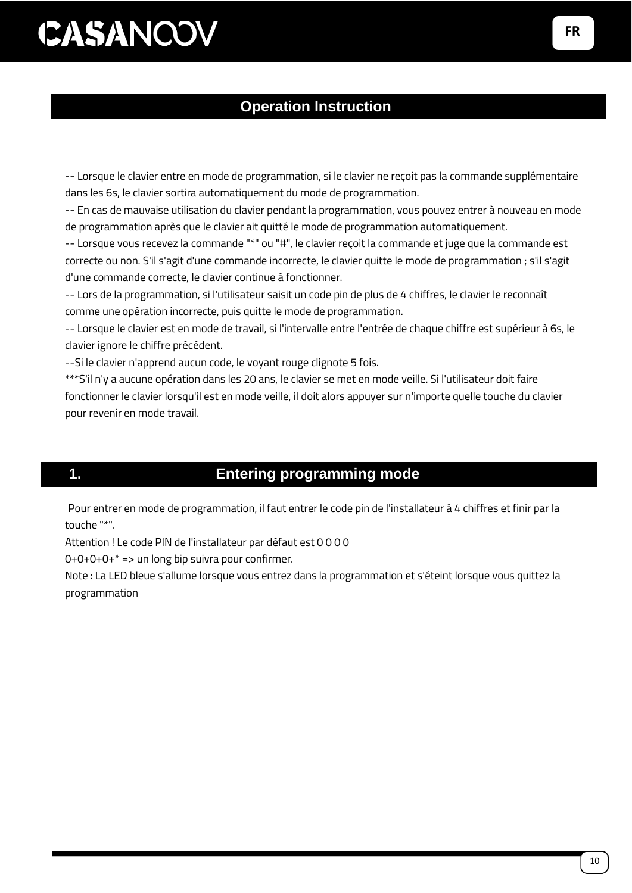### **Operation Instruction**

-- Lorsque le clavier entre en mode de programmation, si le clavier ne reçoit pas la commande supplémentaire dans les 6s, le clavier sortira automatiquement du mode de programmation.

-- En cas de mauvaise utilisation du clavier pendant la programmation, vous pouvez entrer à nouveau en mode de programmation après que le clavier ait quitté le mode de programmation automatiquement.

-- Lorsque vous recevez la commande "\*" ou "#", le clavier reçoit la commande et juge que la commande est correcte ou non. S'il s'agit d'une commande incorrecte, le clavier quitte le mode de programmation ; s'il s'agit d'une commande correcte, le clavier continue à fonctionner.

-- Lors de la programmation, si l'utilisateur saisit un code pin de plus de 4 chiffres, le clavier le reconnaît comme une opération incorrecte, puis quitte le mode de programmation.

-- Lorsque le clavier est en mode de travail, si l'intervalle entre l'entrée de chaque chiffre est supérieur à 6s, le clavier ignore le chiffre précédent.

--Si le clavier n'apprend aucun code, le voyant rouge clignote 5 fois.

\*\*\*S'il n'y a aucune opération dans les 20 ans, le clavier se met en mode veille. Si l'utilisateur doit faire fonctionner le clavier lorsqu'il est en mode veille, il doit alors appuyer sur n'importe quelle touche du clavier pour revenir en mode travail.

#### **1. Entering programming mode**

Pour entrer en mode de programmation, il faut entrer le code pin de l'installateur à 4 chiffres et finir par la touche "\*".

Attention ! Le code PIN de l'installateur par défaut est 0 0 0 0

 $0+0+0+0+* ==$  un long bip suivra pour confirmer.

Note : La LED bleue s'allume lorsque vous entrez dans la programmation et s'éteint lorsque vous quittez la programmation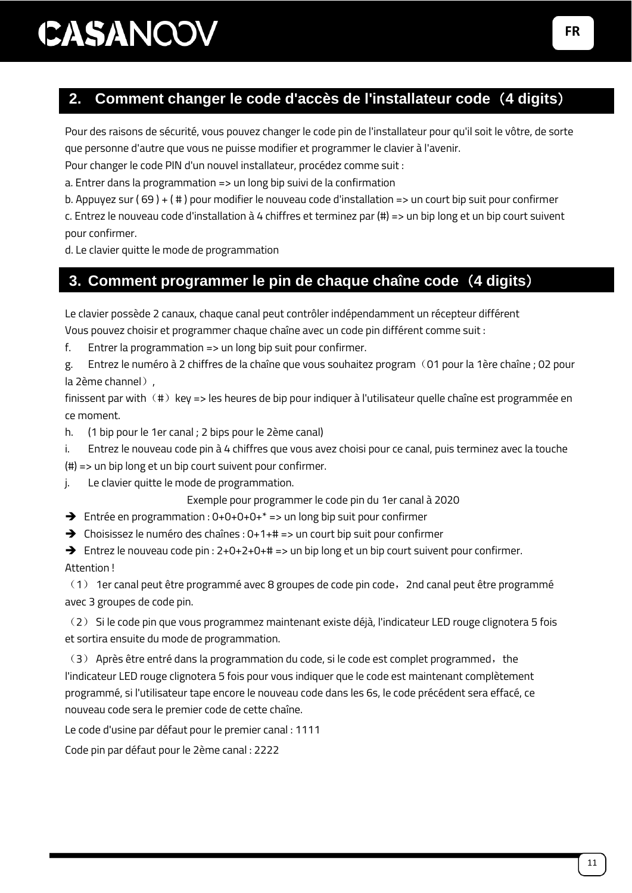### **2. Comment changer le code d'accès de l'installateur code**(**4 digits**)

Pour des raisons de sécurité, vous pouvez changer le code pin de l'installateur pour qu'il soit le vôtre, de sorte que personne d'autre que vous ne puisse modifier et programmer le clavier à l'avenir.

Pour changer le code PIN d'un nouvel installateur, procédez comme suit :

a. Entrer dans la programmation => un long bip suivi de la confirmation

b. Appuyez sur ( 69 ) + ( # ) pour modifier le nouveau code d'installation => un court bip suit pour confirmer

c. Entrez le nouveau code d'installation à 4 chiffres et terminez par (#) => un bip long et un bip court suivent pour confirmer.

d. Le clavier quitte le mode de programmation

### **3. Comment programmer le pin de chaque chaîne code**(**4 digits**)

Le clavier possède 2 canaux, chaque canal peut contrôler indépendamment un récepteur différent

Vous pouvez choisir et programmer chaque chaîne avec un code pin différent comme suit :

f. Entrer la programmation  $\Rightarrow$  un long bip suit pour confirmer.

g. Entrez le numéro à 2 chiffres de la chaîne que vous souhaitez program(01 pour la 1ère chaîne ; 02 pour la 2ème channel),

finissent par with  $(\#)$  key => les heures de bip pour indiquer à l'utilisateur quelle chaîne est programmée en ce moment.

h. (1 bip pour le 1er canal ; 2 bips pour le 2ème canal)

i. Entrez le nouveau code pin à 4 chiffres que vous avez choisi pour ce canal, puis terminez avec la touche

(#) => un bip long et un bip court suivent pour confirmer.

j. Le clavier quitte le mode de programmation.

Exemple pour programmer le code pin du 1er canal à 2020

- ➔ Entrée en programmation : 0+0+0+0+\* => un long bip suit pour confirmer
- ➔ Choisissez le numéro des chaînes : 0+1+# => un court bip suit pour confirmer

➔ Entrez le nouveau code pin : 2+0+2+0+# => un bip long et un bip court suivent pour confirmer. Attention !

(1) 1er canal peut être programmé avec 8 groupes de code pin code,2nd canal peut être programmé avec 3 groupes de code pin.

(2) Si le code pin que vous programmez maintenant existe déjà, l'indicateur LED rouge clignotera 5 fois et sortira ensuite du mode de programmation.

(3) Après être entré dans la programmation du code, si le code est complet programmed, the l'indicateur LED rouge clignotera 5 fois pour vous indiquer que le code est maintenant complètement programmé, si l'utilisateur tape encore le nouveau code dans les 6s, le code précédent sera effacé, ce nouveau code sera le premier code de cette chaîne.

Le code d'usine par défaut pour le premier canal : 1111

Code pin par défaut pour le 2ème canal : 2222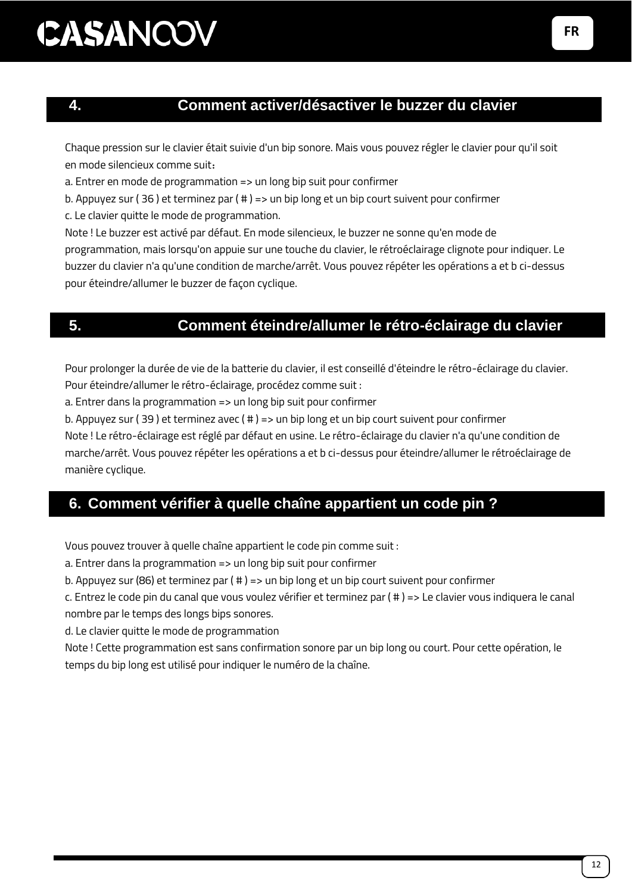#### **4. Comment activer/désactiver le buzzer du clavier**

Chaque pression sur le clavier était suivie d'un bip sonore. Mais vous pouvez régler le clavier pour qu'il soit en mode silencieux comme suit:

a. Entrer en mode de programmation => un long bip suit pour confirmer

b. Appuyez sur ( 36 ) et terminez par ( # ) => un bip long et un bip court suivent pour confirmer

c. Le clavier quitte le mode de programmation.

Note ! Le buzzer est activé par défaut. En mode silencieux, le buzzer ne sonne qu'en mode de programmation, mais lorsqu'on appuie sur une touche du clavier, le rétroéclairage clignote pour indiquer. Le buzzer du clavier n'a qu'une condition de marche/arrêt. Vous pouvez répéter les opérations a et b ci-dessus pour éteindre/allumer le buzzer de façon cyclique.

### **5. Comment éteindre/allumer le rétro-éclairage du clavier**

Pour prolonger la durée de vie de la batterie du clavier, il est conseillé d'éteindre le rétro-éclairage du clavier. Pour éteindre/allumer le rétro-éclairage, procédez comme suit :

a. Entrer dans la programmation => un long bip suit pour confirmer

b. Appuyez sur ( 39 ) et terminez avec ( # ) => un bip long et un bip court suivent pour confirmer

Note ! Le rétro-éclairage est réglé par défaut en usine. Le rétro-éclairage du clavier n'a qu'une condition de marche/arrêt. Vous pouvez répéter les opérations a et b ci-dessus pour éteindre/allumer le rétroéclairage de manière cyclique.

### **6. Comment vérifier à quelle chaîne appartient un code pin ?**

Vous pouvez trouver à quelle chaîne appartient le code pin comme suit :

a. Entrer dans la programmation => un long bip suit pour confirmer

b. Appuyez sur (86) et terminez par ( # ) => un bip long et un bip court suivent pour confirmer

c. Entrez le code pin du canal que vous voulez vérifier et terminez par ( # ) => Le clavier vous indiquera le canal nombre par le temps des longs bips sonores.

d. Le clavier quitte le mode de programmation

Note ! Cette programmation est sans confirmation sonore par un bip long ou court. Pour cette opération, le temps du bip long est utilisé pour indiquer le numéro de la chaîne.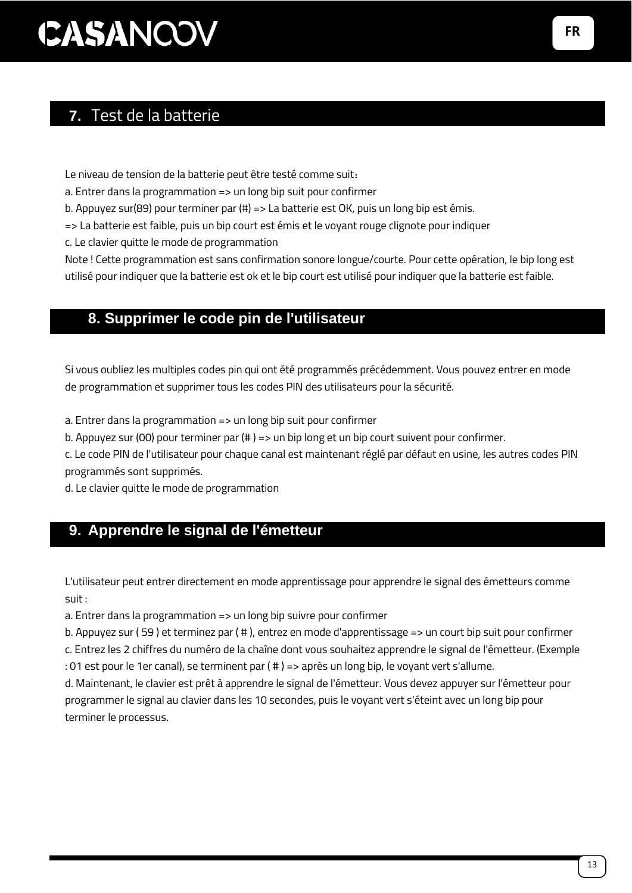### **7.** Test de la batterie

Le niveau de tension de la batterie peut être testé comme suit:

a. Entrer dans la programmation => un long bip suit pour confirmer

b. Appuyez sur(89) pour terminer par (#) => La batterie est OK, puis un long bip est émis.

=> La batterie est faible, puis un bip court est émis et le voyant rouge clignote pour indiquer

c. Le clavier quitte le mode de programmation

Note ! Cette programmation est sans confirmation sonore longue/courte. Pour cette opération, le bip long est utilisé pour indiquer que la batterie est ok et le bip court est utilisé pour indiquer que la batterie est faible.

#### 8. **8. Supprimer le code pin de l'utilisateur**

Si vous oubliez les multiples codes pin qui ont été programmés précédemment. Vous pouvez entrer en mode de programmation et supprimer tous les codes PIN des utilisateurs pour la sécurité.

a. Entrer dans la programmation => un long bip suit pour confirmer

b. Appuyez sur (00) pour terminer par (# ) => un bip long et un bip court suivent pour confirmer.

c. Le code PIN de l'utilisateur pour chaque canal est maintenant réglé par défaut en usine, les autres codes PIN programmés sont supprimés.

d. Le clavier quitte le mode de programmation

### **9. Apprendre le signal de l'émetteur**

L'utilisateur peut entrer directement en mode apprentissage pour apprendre le signal des émetteurs comme suit :

a. Entrer dans la programmation => un long bip suivre pour confirmer

b. Appuyez sur ( 59 ) et terminez par ( # ), entrez en mode d'apprentissage => un court bip suit pour confirmer

c. Entrez les 2 chiffres du numéro de la chaîne dont vous souhaitez apprendre le signal de l'émetteur. (Exemple : 01 est pour le 1er canal), se terminent par ( # ) => après un long bip, le voyant vert s'allume.

d. Maintenant, le clavier est prêt à apprendre le signal de l'émetteur. Vous devez appuyer sur l'émetteur pour programmer le signal au clavier dans les 10 secondes, puis le voyant vert s'éteint avec un long bip pour terminer le processus.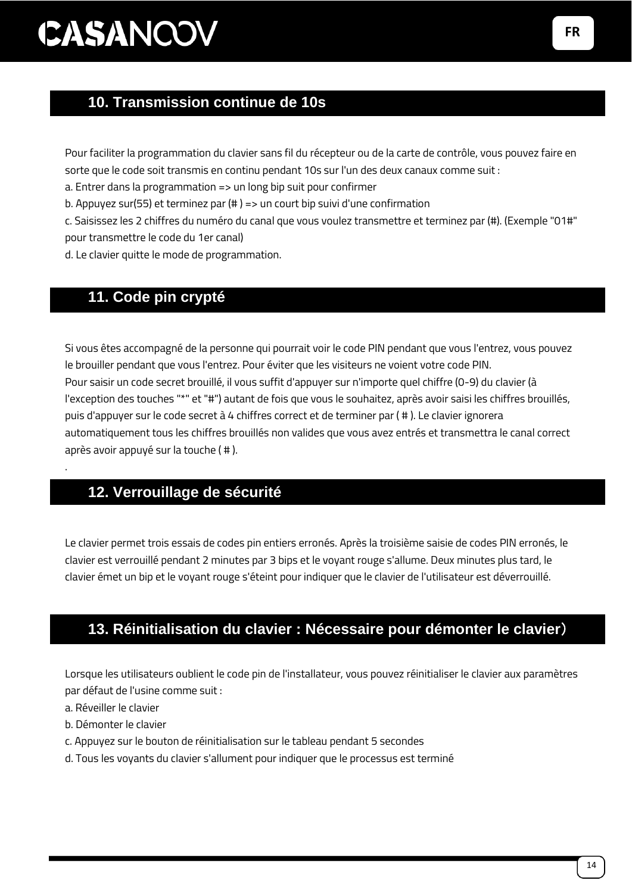### 10. **10. Transmission continue de 10s**

Pour faciliter la programmation du clavier sans fil du récepteur ou de la carte de contrôle, vous pouvez faire en sorte que le code soit transmis en continu pendant 10s sur l'un des deux canaux comme suit :

a. Entrer dans la programmation => un long bip suit pour confirmer

b. Appuyez sur(55) et terminez par (# ) => un court bip suivi d'une confirmation

c. Saisissez les 2 chiffres du numéro du canal que vous voulez transmettre et terminez par (#). (Exemple "01#" pour transmettre le code du 1er canal)

d. Le clavier quitte le mode de programmation.

### 11. **11. Code pin crypté**

Si vous êtes accompagné de la personne qui pourrait voir le code PIN pendant que vous l'entrez, vous pouvez le brouiller pendant que vous l'entrez. Pour éviter que les visiteurs ne voient votre code PIN. Pour saisir un code secret brouillé, il vous suffit d'appuyer sur n'importe quel chiffre (0-9) du clavier (à l'exception des touches "\*" et "#") autant de fois que vous le souhaitez, après avoir saisi les chiffres brouillés, puis d'appuyer sur le code secret à 4 chiffres correct et de terminer par ( # ). Le clavier ignorera automatiquement tous les chiffres brouillés non valides que vous avez entrés et transmettra le canal correct après avoir appuyé sur la touche ( # ).

### 12. **12. Verrouillage de sécurité**

Le clavier permet trois essais de codes pin entiers erronés. Après la troisième saisie de codes PIN erronés, le clavier est verrouillé pendant 2 minutes par 3 bips et le voyant rouge s'allume. Deux minutes plus tard, le clavier émet un bip et le voyant rouge s'éteint pour indiquer que le clavier de l'utilisateur est déverrouillé.

### 13. **13. Réinitialisation du clavier : Nécessaire pour démonter le clavier**)

Lorsque les utilisateurs oublient le code pin de l'installateur, vous pouvez réinitialiser le clavier aux paramètres par défaut de l'usine comme suit :

a. Réveiller le clavier

.

- b. Démonter le clavier
- c. Appuyez sur le bouton de réinitialisation sur le tableau pendant 5 secondes
- d. Tous les voyants du clavier s'allument pour indiquer que le processus est terminé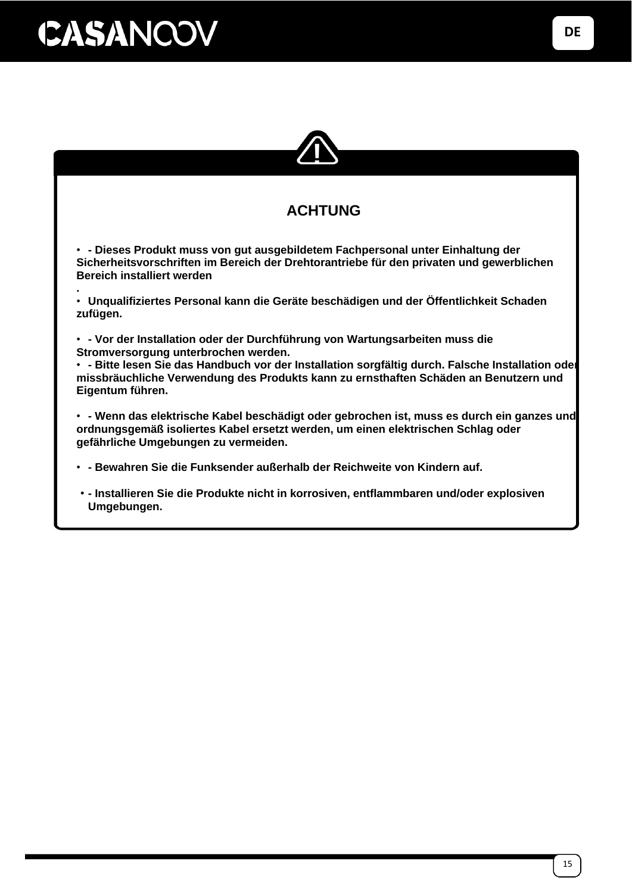

### **ACHTUNG**

• **- Dieses Produkt muss von gut ausgebildetem Fachpersonal unter Einhaltung der Sicherheitsvorschriften im Bereich der Drehtorantriebe für den privaten und gewerblichen Bereich installiert werden**

**.** • **Unqualifiziertes Personal kann die Geräte beschädigen und der Öffentlichkeit Schaden zufügen.**

• **- Vor der Installation oder der Durchführung von Wartungsarbeiten muss die Stromversorgung unterbrochen werden.**

• **- Bitte lesen Sie das Handbuch vor der Installation sorgfältig durch. Falsche Installation oder missbräuchliche Verwendung des Produkts kann zu ernsthaften Schäden an Benutzern und Eigentum führen.**

• **- Wenn das elektrische Kabel beschädigt oder gebrochen ist, muss es durch ein ganzes und ordnungsgemäß isoliertes Kabel ersetzt werden, um einen elektrischen Schlag oder gefährliche Umgebungen zu vermeiden.**

• **- Bewahren Sie die Funksender außerhalb der Reichweite von Kindern auf.**

• **- Installieren Sie die Produkte nicht in korrosiven, entflammbaren und/oder explosiven Umgebungen.**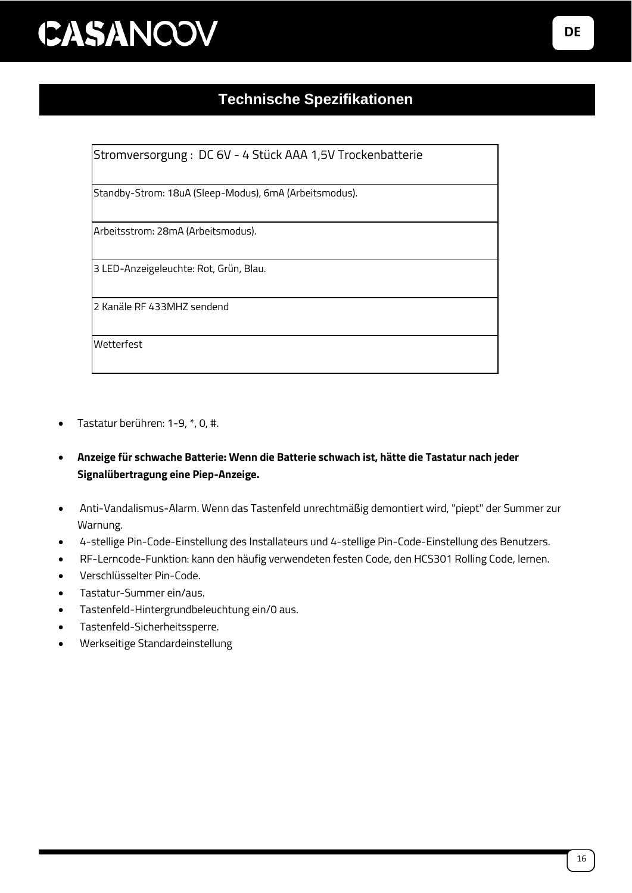### **Technische Spezifikationen**

Stromversorgung : DC 6V - 4 Stück AAA 1,5V Trockenbatterie

Standby-Strom: 18uA (Sleep-Modus), 6mA (Arbeitsmodus).

Arbeitsstrom: 28mA (Arbeitsmodus).

3 LED-Anzeigeleuchte: Rot, Grün, Blau.

2 Kanäle RF 433MHZ sendend

Wetterfest

- Tastatur berühren: 1-9, \*, 0, #.
- **Anzeige für schwache Batterie: Wenn die Batterie schwach ist, hätte die Tastatur nach jeder Signalübertragung eine Piep-Anzeige.**
- Anti-Vandalismus-Alarm. Wenn das Tastenfeld unrechtmäßig demontiert wird, "piept" der Summer zur Warnung.
- 4-stellige Pin-Code-Einstellung des Installateurs und 4-stellige Pin-Code-Einstellung des Benutzers.
- RF-Lerncode-Funktion: kann den häufig verwendeten festen Code, den HCS301 Rolling Code, lernen.
- Verschlüsselter Pin-Code.
- Tastatur-Summer ein/aus.
- Tastenfeld-Hintergrundbeleuchtung ein/0 aus.
- Tastenfeld-Sicherheitssperre.
- Werkseitige Standardeinstellung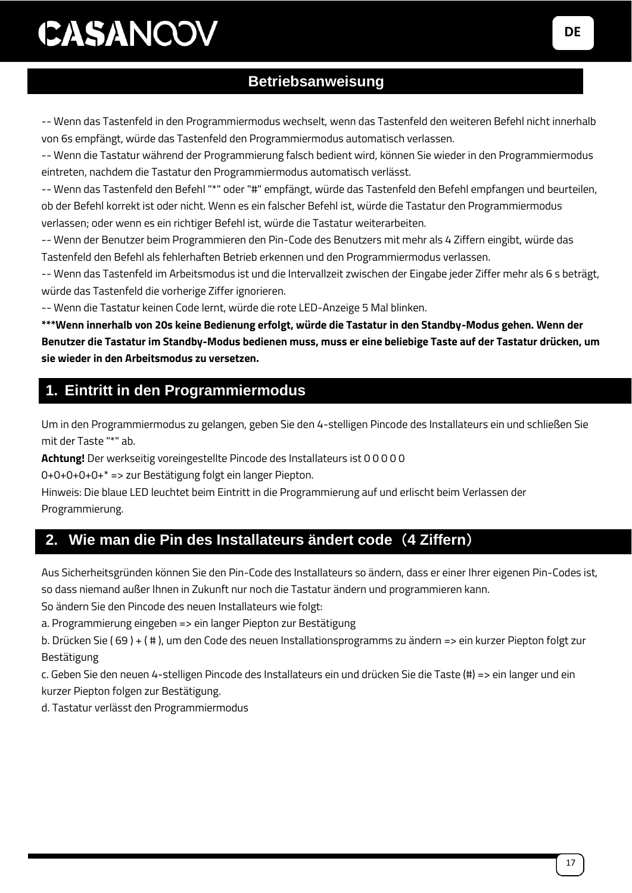### **Betriebsanweisung**

-- Wenn das Tastenfeld in den Programmiermodus wechselt, wenn das Tastenfeld den weiteren Befehl nicht innerhalb von 6s empfängt, würde das Tastenfeld den Programmiermodus automatisch verlassen.

-- Wenn die Tastatur während der Programmierung falsch bedient wird, können Sie wieder in den Programmiermodus eintreten, nachdem die Tastatur den Programmiermodus automatisch verlässt.

-- Wenn das Tastenfeld den Befehl "\*" oder "#" empfängt, würde das Tastenfeld den Befehl empfangen und beurteilen, ob der Befehl korrekt ist oder nicht. Wenn es ein falscher Befehl ist, würde die Tastatur den Programmiermodus verlassen; oder wenn es ein richtiger Befehl ist, würde die Tastatur weiterarbeiten.

-- Wenn der Benutzer beim Programmieren den Pin-Code des Benutzers mit mehr als 4 Ziffern eingibt, würde das Tastenfeld den Befehl als fehlerhaften Betrieb erkennen und den Programmiermodus verlassen.

-- Wenn das Tastenfeld im Arbeitsmodus ist und die Intervallzeit zwischen der Eingabe jeder Ziffer mehr als 6 s beträgt, würde das Tastenfeld die vorherige Ziffer ignorieren.

-- Wenn die Tastatur keinen Code lernt, würde die rote LED-Anzeige 5 Mal blinken.

**\*\*\*Wenn innerhalb von 20s keine Bedienung erfolgt, würde die Tastatur in den Standby-Modus gehen. Wenn der Benutzer die Tastatur im Standby-Modus bedienen muss, muss er eine beliebige Taste auf der Tastatur drücken, um sie wieder in den Arbeitsmodus zu versetzen.**

### **1. Eintritt in den Programmiermodus**

Um in den Programmiermodus zu gelangen, geben Sie den 4-stelligen Pincode des Installateurs ein und schließen Sie mit der Taste "\*" ab.

**Achtung!** Der werkseitig voreingestellte Pincode des Installateurs ist 0 0 0 0 0

0+0+0+0+0+\* => zur Bestätigung folgt ein langer Piepton.

Hinweis: Die blaue LED leuchtet beim Eintritt in die Programmierung auf und erlischt beim Verlassen der Programmierung.

### **2. Wie man die Pin des Installateurs ändert code**(**4 Ziffern**)

Aus Sicherheitsgründen können Sie den Pin-Code des Installateurs so ändern, dass er einer Ihrer eigenen Pin-Codes ist, so dass niemand außer Ihnen in Zukunft nur noch die Tastatur ändern und programmieren kann.

So ändern Sie den Pincode des neuen Installateurs wie folgt:

a. Programmierung eingeben => ein langer Piepton zur Bestätigung

b. Drücken Sie ( 69 ) + ( # ), um den Code des neuen Installationsprogramms zu ändern => ein kurzer Piepton folgt zur Bestätigung

c. Geben Sie den neuen 4-stelligen Pincode des Installateurs ein und drücken Sie die Taste (#) => ein langer und ein kurzer Piepton folgen zur Bestätigung.

d. Tastatur verlässt den Programmiermodus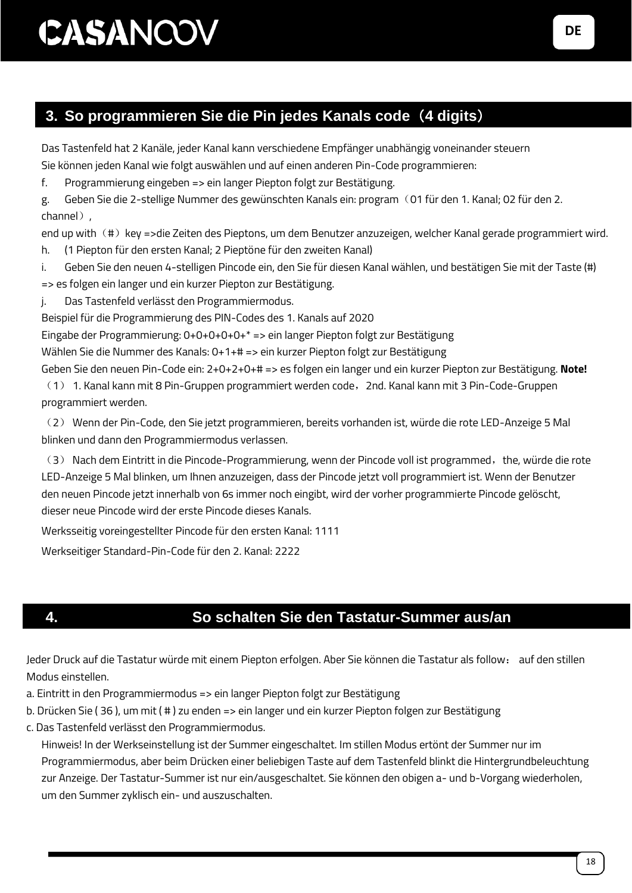### **3. So programmieren Sie die Pin jedes Kanals code**(**4 digits**)

Das Tastenfeld hat 2 Kanäle, jeder Kanal kann verschiedene Empfänger unabhängig voneinander steuern Sie können jeden Kanal wie folgt auswählen und auf einen anderen Pin-Code programmieren:

f. Programmierung eingeben => ein langer Piepton folgt zur Bestätigung.

g. Geben Sie die 2-stellige Nummer des gewünschten Kanals ein: program(01 für den 1. Kanal; 02 für den 2. channel).

end up with (#) key =>die Zeiten des Pieptons, um dem Benutzer anzuzeigen, welcher Kanal gerade programmiert wird.

h. (1 Piepton für den ersten Kanal; 2 Pieptöne für den zweiten Kanal)

i. Geben Sie den neuen 4-stelligen Pincode ein, den Sie für diesen Kanal wählen, und bestätigen Sie mit der Taste (#) => es folgen ein langer und ein kurzer Piepton zur Bestätigung.

j. Das Tastenfeld verlässt den Programmiermodus.

Beispiel für die Programmierung des PIN-Codes des 1. Kanals auf 2020

Eingabe der Programmierung: 0+0+0+0+0+\* => ein langer Piepton folgt zur Bestätigung

Wählen Sie die Nummer des Kanals: 0+1+# => ein kurzer Piepton folgt zur Bestätigung

Geben Sie den neuen Pin-Code ein: 2+0+2+0+# => es folgen ein langer und ein kurzer Piepton zur Bestätigung. **Note!**  (1) 1. Kanal kann mit 8 Pin-Gruppen programmiert werden code,2nd. Kanal kann mit 3 Pin-Code-Gruppen programmiert werden.

(2) Wenn der Pin-Code, den Sie jetzt programmieren, bereits vorhanden ist, würde die rote LED-Anzeige 5 Mal blinken und dann den Programmiermodus verlassen.

(3) Nach dem Eintritt in die Pincode-Programmierung, wenn der Pincode voll ist programmed, the, würde die rote LED-Anzeige 5 Mal blinken, um Ihnen anzuzeigen, dass der Pincode jetzt voll programmiert ist. Wenn der Benutzer den neuen Pincode jetzt innerhalb von 6s immer noch eingibt, wird der vorher programmierte Pincode gelöscht, dieser neue Pincode wird der erste Pincode dieses Kanals.

Werksseitig voreingestellter Pincode für den ersten Kanal: 1111

Werkseitiger Standard-Pin-Code für den 2. Kanal: 2222

### **4. So schalten Sie den Tastatur-Summer aus/an**

Jeder Druck auf die Tastatur würde mit einem Piepton erfolgen. Aber Sie können die Tastatur als follow: auf den stillen Modus einstellen.

a. Eintritt in den Programmiermodus => ein langer Piepton folgt zur Bestätigung

- b. Drücken Sie ( 36 ), um mit ( # ) zu enden => ein langer und ein kurzer Piepton folgen zur Bestätigung
- c. Das Tastenfeld verlässt den Programmiermodus.

Hinweis! In der Werkseinstellung ist der Summer eingeschaltet. Im stillen Modus ertönt der Summer nur im Programmiermodus, aber beim Drücken einer beliebigen Taste auf dem Tastenfeld blinkt die Hintergrundbeleuchtung zur Anzeige. Der Tastatur-Summer ist nur ein/ausgeschaltet. Sie können den obigen a- und b-Vorgang wiederholen, um den Summer zyklisch ein- und auszuschalten.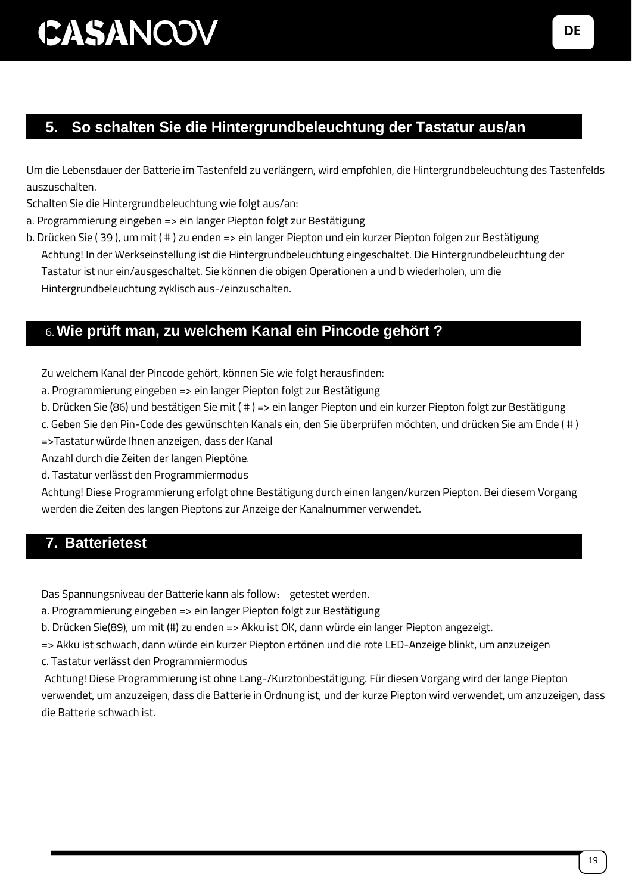### **5. So schalten Sie die Hintergrundbeleuchtung der Tastatur aus/an**

Um die Lebensdauer der Batterie im Tastenfeld zu verlängern, wird empfohlen, die Hintergrundbeleuchtung des Tastenfelds auszuschalten.

Schalten Sie die Hintergrundbeleuchtung wie folgt aus/an:

a. Programmierung eingeben => ein langer Piepton folgt zur Bestätigung

b. Drücken Sie ( 39 ), um mit ( # ) zu enden => ein langer Piepton und ein kurzer Piepton folgen zur Bestätigung Achtung! In der Werkseinstellung ist die Hintergrundbeleuchtung eingeschaltet. Die Hintergrundbeleuchtung der Tastatur ist nur ein/ausgeschaltet. Sie können die obigen Operationen a und b wiederholen, um die Hintergrundbeleuchtung zyklisch aus-/einzuschalten.

#### 6.**Wie prüft man, zu welchem Kanal ein Pincode gehört ?**

Zu welchem Kanal der Pincode gehört, können Sie wie folgt herausfinden:

- a. Programmierung eingeben => ein langer Piepton folgt zur Bestätigung
- b. Drücken Sie (86) und bestätigen Sie mit ( # ) => ein langer Piepton und ein kurzer Piepton folgt zur Bestätigung
- c. Geben Sie den Pin-Code des gewünschten Kanals ein, den Sie überprüfen möchten, und drücken Sie am Ende ( # )

=>Tastatur würde Ihnen anzeigen, dass der Kanal

Anzahl durch die Zeiten der langen Pieptöne.

d. Tastatur verlässt den Programmiermodus

Achtung! Diese Programmierung erfolgt ohne Bestätigung durch einen langen/kurzen Piepton. Bei diesem Vorgang werden die Zeiten des langen Pieptons zur Anzeige der Kanalnummer verwendet.

#### **7. Batterietest**

Das Spannungsniveau der Batterie kann als follow: getestet werden.

a. Programmierung eingeben => ein langer Piepton folgt zur Bestätigung

b. Drücken Sie(89), um mit (#) zu enden => Akku ist OK, dann würde ein langer Piepton angezeigt.

=> Akku ist schwach, dann würde ein kurzer Piepton ertönen und die rote LED-Anzeige blinkt, um anzuzeigen

c. Tastatur verlässt den Programmiermodus

Achtung! Diese Programmierung ist ohne Lang-/Kurztonbestätigung. Für diesen Vorgang wird der lange Piepton verwendet, um anzuzeigen, dass die Batterie in Ordnung ist, und der kurze Piepton wird verwendet, um anzuzeigen, dass die Batterie schwach ist.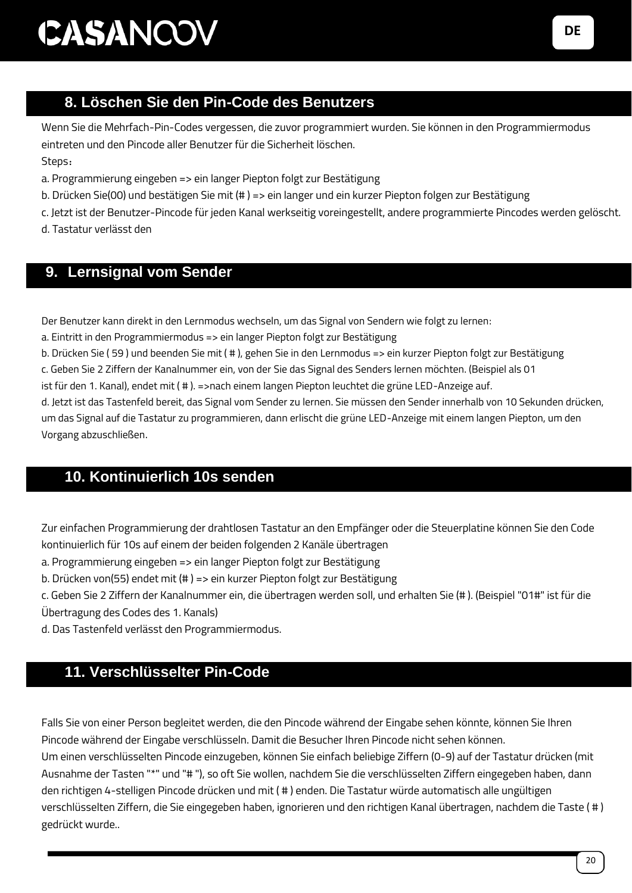### 8. **8. Löschen Sie den Pin-Code des Benutzers**

Wenn Sie die Mehrfach-Pin-Codes vergessen, die zuvor programmiert wurden. Sie können in den Programmiermodus eintreten und den Pincode aller Benutzer für die Sicherheit löschen. Steps:

- a. Programmierung eingeben => ein langer Piepton folgt zur Bestätigung
- b. Drücken Sie(00) und bestätigen Sie mit (# ) => ein langer und ein kurzer Piepton folgen zur Bestätigung
- c. Jetzt ist der Benutzer-Pincode für jeden Kanal werkseitig voreingestellt, andere programmierte Pincodes werden gelöscht.
- d. Tastatur verlässt den

#### **9. Lernsignal vom Sender**

Der Benutzer kann direkt in den Lernmodus wechseln, um das Signal von Sendern wie folgt zu lernen:

a. Eintritt in den Programmiermodus => ein langer Piepton folgt zur Bestätigung

b. Drücken Sie ( 59 ) und beenden Sie mit ( # ), gehen Sie in den Lernmodus => ein kurzer Piepton folgt zur Bestätigung

c. Geben Sie 2 Ziffern der Kanalnummer ein, von der Sie das Signal des Senders lernen möchten. (Beispiel als 01

ist für den 1. Kanal), endet mit ( # ). =>nach einem langen Piepton leuchtet die grüne LED-Anzeige auf.

d. Jetzt ist das Tastenfeld bereit, das Signal vom Sender zu lernen. Sie müssen den Sender innerhalb von 10 Sekunden drücken, um das Signal auf die Tastatur zu programmieren, dann erlischt die grüne LED-Anzeige mit einem langen Piepton, um den Vorgang abzuschließen.

#### 10. **10. Kontinuierlich 10s senden**

Zur einfachen Programmierung der drahtlosen Tastatur an den Empfänger oder die Steuerplatine können Sie den Code kontinuierlich für 10s auf einem der beiden folgenden 2 Kanäle übertragen

a. Programmierung eingeben => ein langer Piepton folgt zur Bestätigung

b. Drücken von(55) endet mit (# ) => ein kurzer Piepton folgt zur Bestätigung

c. Geben Sie 2 Ziffern der Kanalnummer ein, die übertragen werden soll, und erhalten Sie (# ). (Beispiel "01#" ist für die Übertragung des Codes des 1. Kanals)

d. Das Tastenfeld verlässt den Programmiermodus.

#### 11. **11. Verschlüsselter Pin-Code**

Falls Sie von einer Person begleitet werden, die den Pincode während der Eingabe sehen könnte, können Sie Ihren Pincode während der Eingabe verschlüsseln. Damit die Besucher Ihren Pincode nicht sehen können.

Um einen verschlüsselten Pincode einzugeben, können Sie einfach beliebige Ziffern (0-9) auf der Tastatur drücken (mit Ausnahme der Tasten "\*" und "# "), so oft Sie wollen, nachdem Sie die verschlüsselten Ziffern eingegeben haben, dann den richtigen 4-stelligen Pincode drücken und mit ( # ) enden. Die Tastatur würde automatisch alle ungültigen verschlüsselten Ziffern, die Sie eingegeben haben, ignorieren und den richtigen Kanal übertragen, nachdem die Taste ( # ) gedrückt wurde..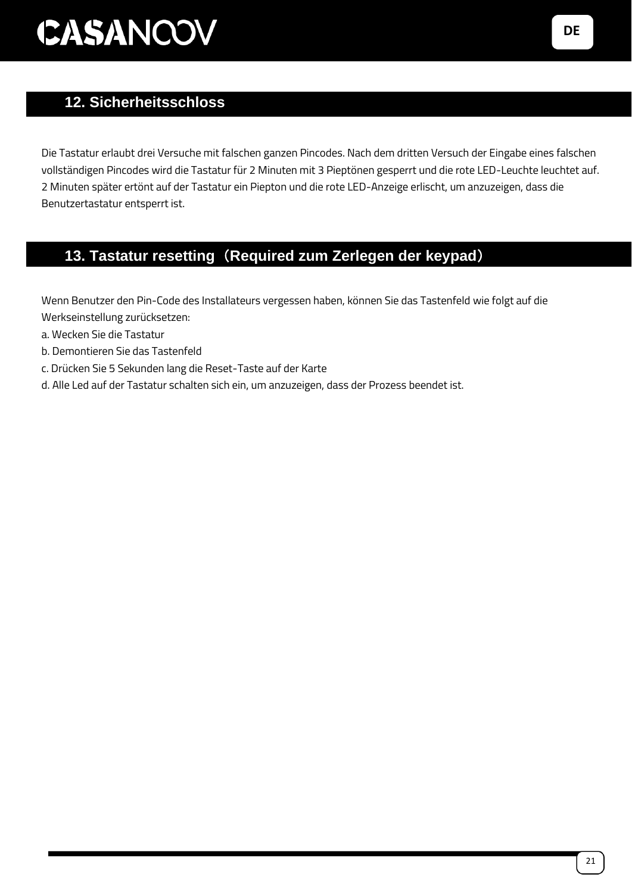### 12. **12. Sicherheitsschloss**

Die Tastatur erlaubt drei Versuche mit falschen ganzen Pincodes. Nach dem dritten Versuch der Eingabe eines falschen vollständigen Pincodes wird die Tastatur für 2 Minuten mit 3 Pieptönen gesperrt und die rote LED-Leuchte leuchtet auf. 2 Minuten später ertönt auf der Tastatur ein Piepton und die rote LED-Anzeige erlischt, um anzuzeigen, dass die Benutzertastatur entsperrt ist.

### 13. **13. Tastatur resetting**(**Required zum Zerlegen der keypad**)

Wenn Benutzer den Pin-Code des Installateurs vergessen haben, können Sie das Tastenfeld wie folgt auf die Werkseinstellung zurücksetzen:

- a. Wecken Sie die Tastatur
- b. Demontieren Sie das Tastenfeld
- c. Drücken Sie 5 Sekunden lang die Reset-Taste auf der Karte
- d. Alle Led auf der Tastatur schalten sich ein, um anzuzeigen, dass der Prozess beendet ist.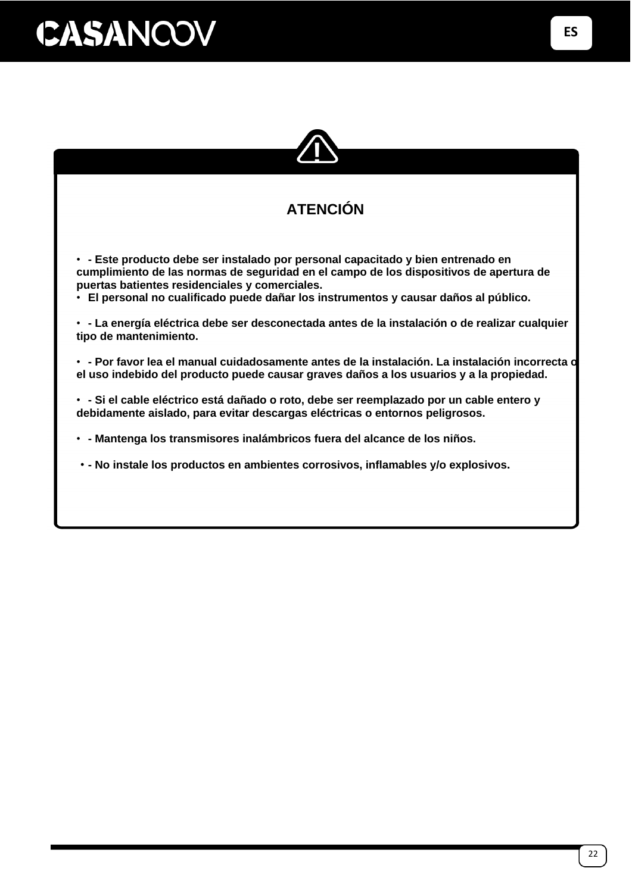

### **ATENCIÓN**

• **- Este producto debe ser instalado por personal capacitado y bien entrenado en cumplimiento de las normas de seguridad en el campo de los dispositivos de apertura de puertas batientes residenciales y comerciales.**

• **El personal no cualificado puede dañar los instrumentos y causar daños al público.**

• **- La energía eléctrica debe ser desconectada antes de la instalación o de realizar cualquier tipo de mantenimiento.**

• **- Por favor lea el manual cuidadosamente antes de la instalación. La instalación incorrecta o el uso indebido del producto puede causar graves daños a los usuarios y a la propiedad.**

• **- Si el cable eléctrico está dañado o roto, debe ser reemplazado por un cable entero y debidamente aislado, para evitar descargas eléctricas o entornos peligrosos.**

• **- Mantenga los transmisores inalámbricos fuera del alcance de los niños.**

• **- No instale los productos en ambientes corrosivos, inflamables y/o explosivos.**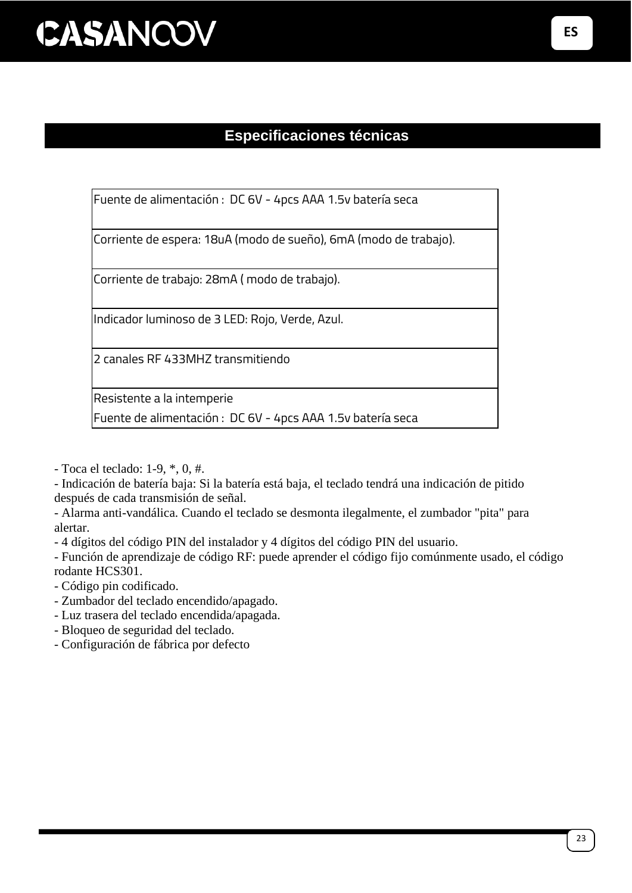### **Especificaciones técnicas**

Fuente de alimentación : DC 6V - 4pcs AAA 1.5v batería seca

Corriente de espera: 18uA (modo de sueño), 6mA (modo de trabajo).

Corriente de trabajo: 28mA ( modo de trabajo).

Indicador luminoso de 3 LED: Rojo, Verde, Azul.

2 canales RF 433MHZ transmitiendo

Resistente a la intemperie

Fuente de alimentación : DC 6V - 4pcs AAA 1.5v batería seca

- Toca el teclado: 1-9, \*, 0, #.

- Indicación de batería baja: Si la batería está baja, el teclado tendrá una indicación de pitido después de cada transmisión de señal.

- Alarma anti-vandálica. Cuando el teclado se desmonta ilegalmente, el zumbador "pita" para alertar.

- 4 dígitos del código PIN del instalador y 4 dígitos del código PIN del usuario.

- Función de aprendizaje de código RF: puede aprender el código fijo comúnmente usado, el código rodante HCS301.

- Código pin codificado.

- Zumbador del teclado encendido/apagado.

- Luz trasera del teclado encendida/apagada.

- Bloqueo de seguridad del teclado.

- Configuración de fábrica por defecto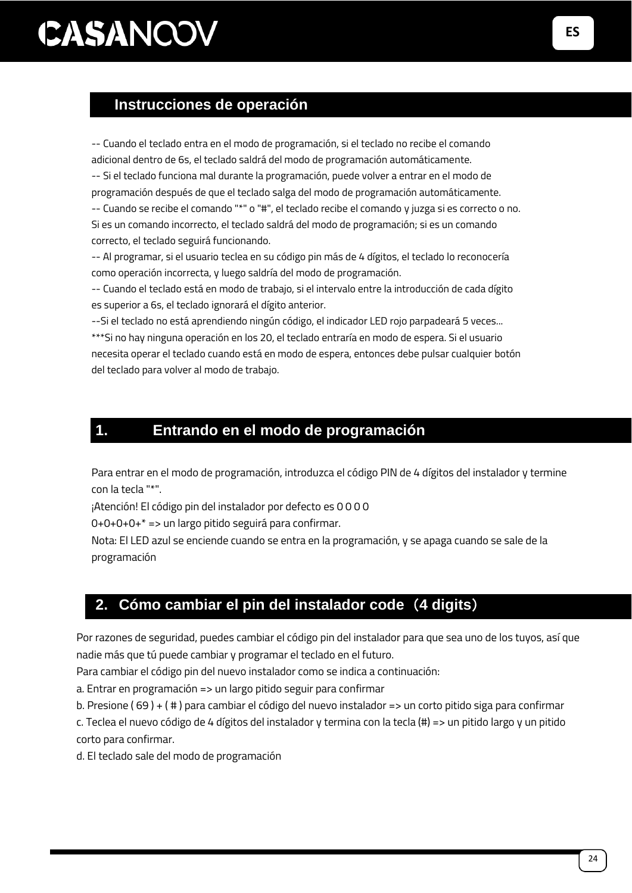### CASANCOV **EN**

#### **Instrucciones de operación**

-- Cuando el teclado entra en el modo de programación, si el teclado no recibe el comando adicional dentro de 6s, el teclado saldrá del modo de programación automáticamente.

-- Si el teclado funciona mal durante la programación, puede volver a entrar en el modo de programación después de que el teclado salga del modo de programación automáticamente. -- Cuando se recibe el comando "\*" o "#", el teclado recibe el comando y juzga si es correcto o no. Si es un comando incorrecto, el teclado saldrá del modo de programación; si es un comando

correcto, el teclado seguirá funcionando. -- Al programar, si el usuario teclea en su código pin más de 4 dígitos, el teclado lo reconocería

como operación incorrecta, y luego saldría del modo de programación. -- Cuando el teclado está en modo de trabajo, si el intervalo entre la introducción de cada dígito

es superior a 6s, el teclado ignorará el dígito anterior.

--Si el teclado no está aprendiendo ningún código, el indicador LED rojo parpadeará 5 veces... \*\*\*Si no hay ninguna operación en los 20, el teclado entraría en modo de espera. Si el usuario necesita operar el teclado cuando está en modo de espera, entonces debe pulsar cualquier botón del teclado para volver al modo de trabajo.

### **1. Entrando en el modo de programación**

Para entrar en el modo de programación, introduzca el código PIN de 4 dígitos del instalador y termine con la tecla "\*".

¡Atención! El código pin del instalador por defecto es 0 0 0 0

0+0+0+0+\* => un largo pitido seguirá para confirmar.

Nota: El LED azul se enciende cuando se entra en la programación, y se apaga cuando se sale de la programación

### **2. Cómo cambiar el pin del instalador code**(**4 digits**)

Por razones de seguridad, puedes cambiar el código pin del instalador para que sea uno de los tuyos, así que nadie más que tú puede cambiar y programar el teclado en el futuro.

Para cambiar el código pin del nuevo instalador como se indica a continuación:

a. Entrar en programación => un largo pitido seguir para confirmar

b. Presione ( 69 ) + ( # ) para cambiar el código del nuevo instalador => un corto pitido siga para confirmar

c. Teclea el nuevo código de 4 dígitos del instalador y termina con la tecla (#) => un pitido largo y un pitido corto para confirmar.

d. El teclado sale del modo de programación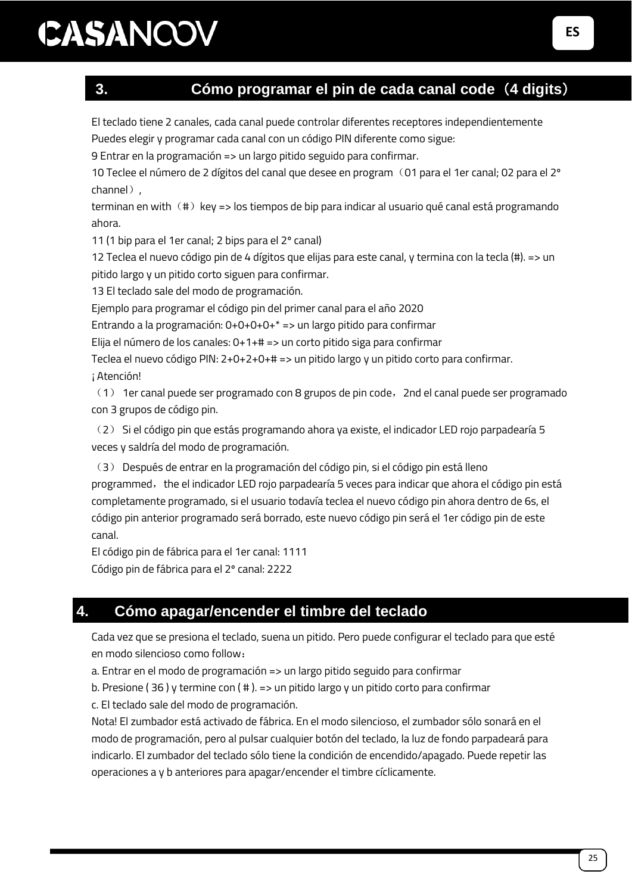#### **3. Cómo programar el pin de cada canal code**(**4 digits**)

El teclado tiene 2 canales, cada canal puede controlar diferentes receptores independientemente Puedes elegir y programar cada canal con un código PIN diferente como sigue:

9 Entrar en la programación => un largo pitido seguido para confirmar.

10 Teclee el número de 2 dígitos del canal que desee en program (01 para el 1er canal; 02 para el 2º channel),

terminan en with  $(\#)$  key => los tiempos de bip para indicar al usuario qué canal está programando ahora.

11 (1 bip para el 1er canal; 2 bips para el 2º canal)

12 Teclea el nuevo código pin de 4 dígitos que elijas para este canal, y termina con la tecla (#). => un pitido largo y un pitido corto siguen para confirmar.

13 El teclado sale del modo de programación.

Ejemplo para programar el código pin del primer canal para el año 2020

Entrando a la programación: 0+0+0+0+\* => un largo pitido para confirmar

Elija el número de los canales: 0+1+# => un corto pitido siga para confirmar

Teclea el nuevo código PIN: 2+0+2+0+# => un pitido largo y un pitido corto para confirmar.

¡Atención!

(1) 1er canal puede ser programado con 8 grupos de pin code,2nd el canal puede ser programado con 3 grupos de código pin.

(2) Si el código pin que estás programando ahora ya existe, el indicador LED rojo parpadearía 5 veces y saldría del modo de programación.

(3) Después de entrar en la programación del código pin, si el código pin está lleno programmed, the el indicador LED rojo parpadearía 5 veces para indicar que ahora el código pin está completamente programado, si el usuario todavía teclea el nuevo código pin ahora dentro de 6s, el código pin anterior programado será borrado, este nuevo código pin será el 1er código pin de este canal.

El código pin de fábrica para el 1er canal: 1111 Código pin de fábrica para el 2º canal: 2222

#### **4. Cómo apagar/encender el timbre del teclado**

Cada vez que se presiona el teclado, suena un pitido. Pero puede configurar el teclado para que esté en modo silencioso como follow:

a. Entrar en el modo de programación => un largo pitido seguido para confirmar

b. Presione ( 36 ) y termine con ( # ). => un pitido largo y un pitido corto para confirmar

c. El teclado sale del modo de programación.

Nota! El zumbador está activado de fábrica. En el modo silencioso, el zumbador sólo sonará en el modo de programación, pero al pulsar cualquier botón del teclado, la luz de fondo parpadeará para indicarlo. El zumbador del teclado sólo tiene la condición de encendido/apagado. Puede repetir las operaciones a y b anteriores para apagar/encender el timbre cíclicamente.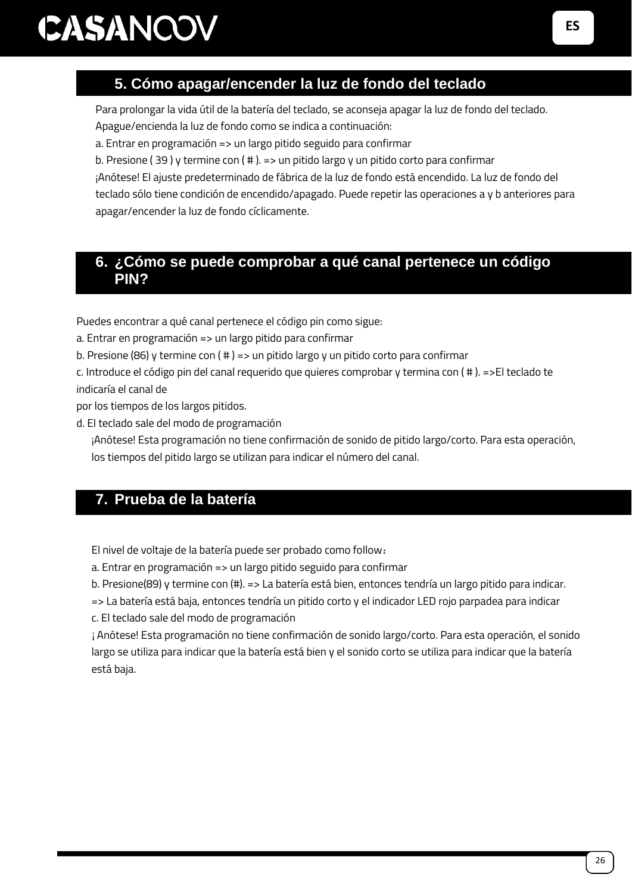### 5. **5. Cómo apagar/encender la luz de fondo del teclado**

Para prolongar la vida útil de la batería del teclado, se aconseja apagar la luz de fondo del teclado.

Apague/encienda la luz de fondo como se indica a continuación:

a. Entrar en programación => un largo pitido seguido para confirmar

b. Presione (39) y termine con (#). => un pitido largo y un pitido corto para confirmar

¡Anótese! El ajuste predeterminado de fábrica de la luz de fondo está encendido. La luz de fondo del teclado sólo tiene condición de encendido/apagado. Puede repetir las operaciones a y b anteriores para apagar/encender la luz de fondo cíclicamente.

#### **6. ¿Cómo se puede comprobar a qué canal pertenece un código PIN?**

Puedes encontrar a qué canal pertenece el código pin como sigue:

a. Entrar en programación => un largo pitido para confirmar

b. Presione (86) y termine con ( # ) => un pitido largo y un pitido corto para confirmar

c. Introduce el código pin del canal requerido que quieres comprobar y termina con ( # ). =>El teclado te indicaría el canal de

por los tiempos de los largos pitidos.

d. El teclado sale del modo de programación

¡Anótese! Esta programación no tiene confirmación de sonido de pitido largo/corto. Para esta operación, los tiempos del pitido largo se utilizan para indicar el número del canal.

### **7. Prueba de la batería**

El nivel de voltaje de la batería puede ser probado como follow:

a. Entrar en programación => un largo pitido seguido para confirmar

b. Presione(89) y termine con (#). => La batería está bien, entonces tendría un largo pitido para indicar.

=> La batería está baja, entonces tendría un pitido corto y el indicador LED rojo parpadea para indicar

c. El teclado sale del modo de programación

¡Anótese! Esta programación no tiene confirmación de sonido largo/corto. Para esta operación, el sonido largo se utiliza para indicar que la batería está bien y el sonido corto se utiliza para indicar que la batería está baja.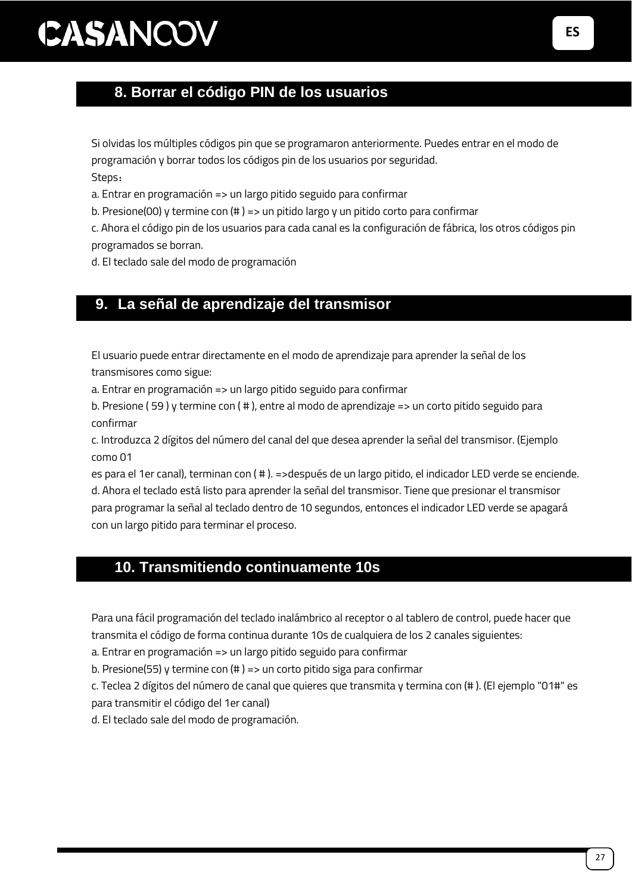### 8. **8. Borrar el código PIN de los usuarios**

Si olvidas los múltiples códigos pin que se programaron anteriormente. Puedes entrar en el modo de programación y borrar todos los códigos pin de los usuarios por seguridad.

Steps:

a. Entrar en programación => un largo pitido seguido para confirmar

b. Presione(00) y termine con (# ) => un pitido largo y un pitido corto para confirmar

c. Ahora el código pin de los usuarios para cada canal es la configuración de fábrica, los otros códigos pin programados se borran.

d. El teclado sale del modo de programación

#### **9. La señal de aprendizaje del transmisor**

El usuario puede entrar directamente en el modo de aprendizaje para aprender la señal de los transmisores como sigue:

a. Entrar en programación => un largo pitido seguido para confirmar

b. Presione ( 59 ) y termine con ( # ), entre al modo de aprendizaje => un corto pitido seguido para confirmar

c. Introduzca 2 dígitos del número del canal del que desea aprender la señal del transmisor. (Ejemplo como 01

es para el 1er canal), terminan con ( # ). =>después de un largo pitido, el indicador LED verde se enciende. d. Ahora el teclado está listo para aprender la señal del transmisor. Tiene que presionar el transmisor para programar la señal al teclado dentro de 10 segundos, entonces el indicador LED verde se apagará con un largo pitido para terminar el proceso.

### 10. **10. Transmitiendo continuamente 10s**

Para una fácil programación del teclado inalámbrico al receptor o al tablero de control, puede hacer que transmita el código de forma continua durante 10s de cualquiera de los 2 canales siguientes:

a. Entrar en programación => un largo pitido seguido para confirmar

b. Presione(55) y termine con (# ) => un corto pitido siga para confirmar

c. Teclea 2 dígitos del número de canal que quieres que transmita y termina con (# ). (El ejemplo "01#" es para transmitir el código del 1er canal)

d. El teclado sale del modo de programación.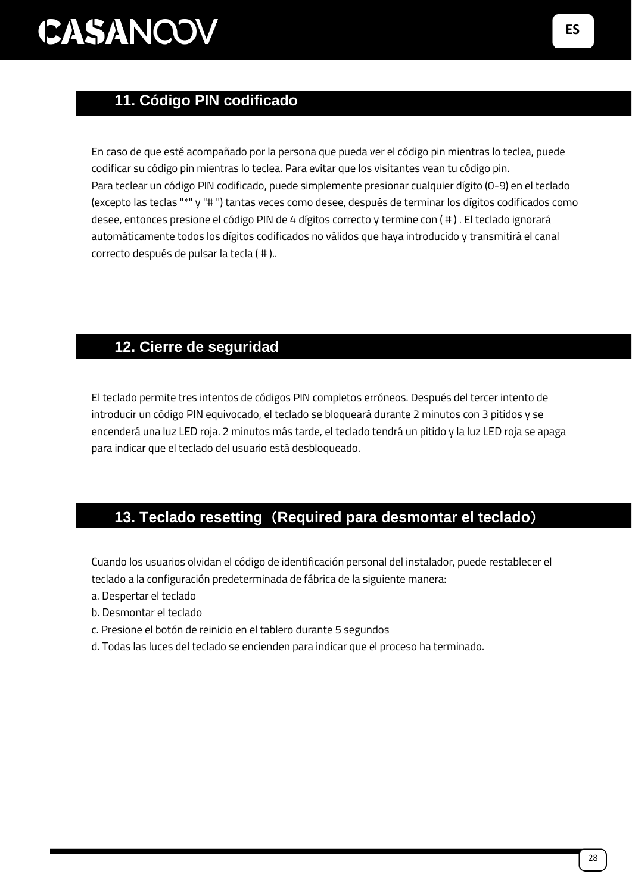### 11. **11. Código PIN codificado**

En caso de que esté acompañado por la persona que pueda ver el código pin mientras lo teclea, puede codificar su código pin mientras lo teclea. Para evitar que los visitantes vean tu código pin. Para teclear un código PIN codificado, puede simplemente presionar cualquier dígito (0-9) en el teclado (excepto las teclas "\*" y "# ") tantas veces como desee, después de terminar los dígitos codificados como desee, entonces presione el código PIN de 4 dígitos correcto y termine con ( # ) . El teclado ignorará automáticamente todos los dígitos codificados no válidos que haya introducido y transmitirá el canal correcto después de pulsar la tecla ( # )..

### 12. **12. Cierre de seguridad**

El teclado permite tres intentos de códigos PIN completos erróneos. Después del tercer intento de introducir un código PIN equivocado, el teclado se bloqueará durante 2 minutos con 3 pitidos y se encenderá una luz LED roja. 2 minutos más tarde, el teclado tendrá un pitido y la luz LED roja se apaga para indicar que el teclado del usuario está desbloqueado.

#### 13. **13. Teclado resetting**(**Required para desmontar el teclado**)

Cuando los usuarios olvidan el código de identificación personal del instalador, puede restablecer el teclado a la configuración predeterminada de fábrica de la siguiente manera:

- a. Despertar el teclado
- b. Desmontar el teclado
- c. Presione el botón de reinicio en el tablero durante 5 segundos
- d. Todas las luces del teclado se encienden para indicar que el proceso ha terminado.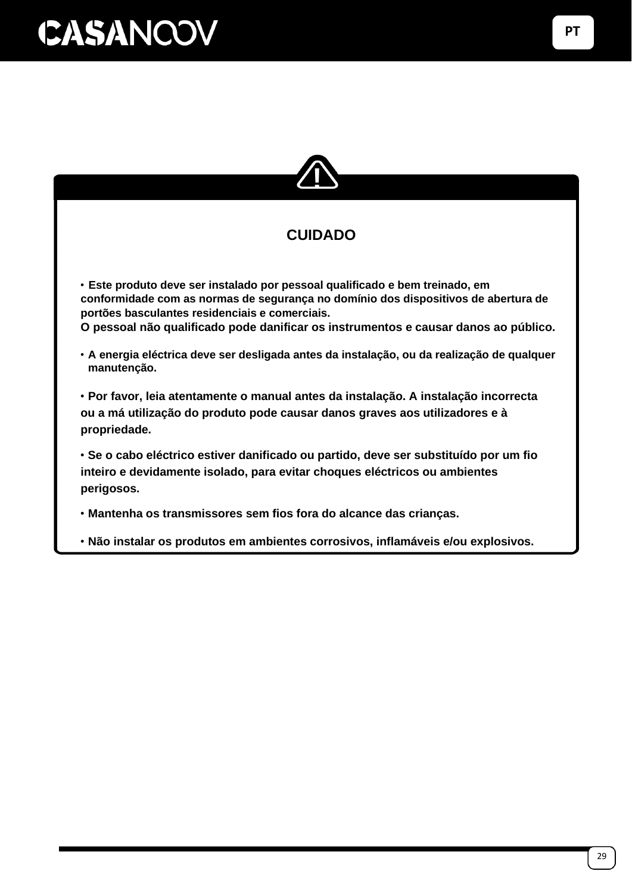

### **CUIDADO**

• **Este produto deve ser instalado por pessoal qualificado e bem treinado, em conformidade com as normas de segurança no domínio dos dispositivos de abertura de portões basculantes residenciais e comerciais.**

**O pessoal não qualificado pode danificar os instrumentos e causar danos ao público.**

• **A energia eléctrica deve ser desligada antes da instalação, ou da realização de qualquer manutenção.**

• **Por favor, leia atentamente o manual antes da instalação. A instalação incorrecta ou a má utilização do produto pode causar danos graves aos utilizadores e à propriedade.**

• **Se o cabo eléctrico estiver danificado ou partido, deve ser substituído por um fio inteiro e devidamente isolado, para evitar choques eléctricos ou ambientes perigosos.**

• **Mantenha os transmissores sem fios fora do alcance das crianças.**

• **Não instalar os produtos em ambientes corrosivos, inflamáveis e/ou explosivos.**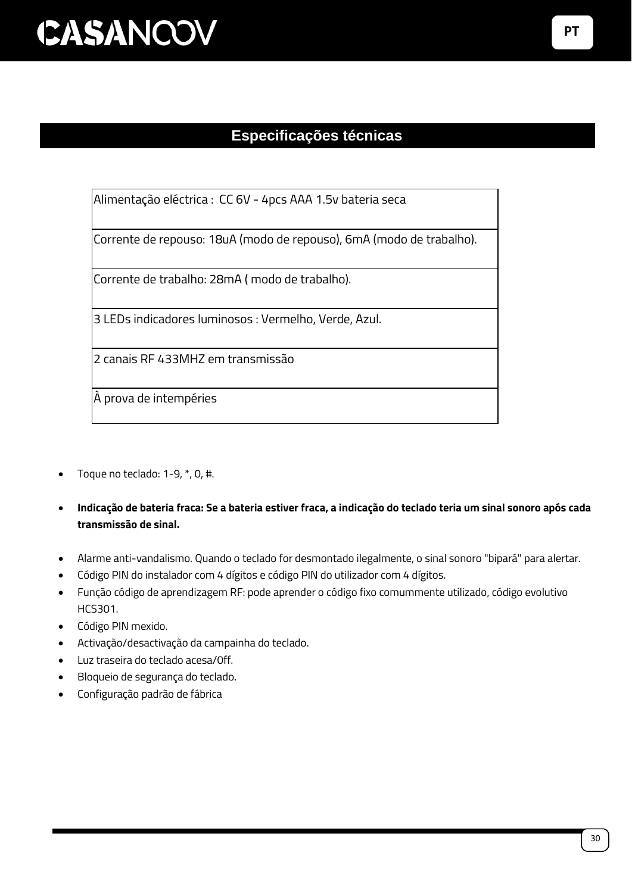### **Especificações técnicas**

Alimentação eléctrica : CC 6V - 4pcs AAA 1.5v bateria seca

Corrente de repouso: 18uA (modo de repouso), 6mA (modo de trabalho).

Corrente de trabalho: 28mA ( modo de trabalho).

3 LEDs indicadores luminosos : Vermelho, Verde, Azul.

2 canais RF 433MHZ em transmissão

À prova de intempéries

- Toque no teclado: 1-9, \*, 0, #.
- **Indicação de bateria fraca: Se a bateria estiver fraca, a indicação do teclado teria um sinal sonoro após cada transmissão de sinal.**
- Alarme anti-vandalismo. Quando o teclado for desmontado ilegalmente, o sinal sonoro "bipará" para alertar.
- Código PIN do instalador com 4 dígitos e código PIN do utilizador com 4 dígitos.
- Função código de aprendizagem RF: pode aprender o código fixo comummente utilizado, código evolutivo HCS301.
- Código PIN mexido.
- Activação/desactivação da campainha do teclado.
- Luz traseira do teclado acesa/0ff.
- Bloqueio de segurança do teclado.
- Configuração padrão de fábrica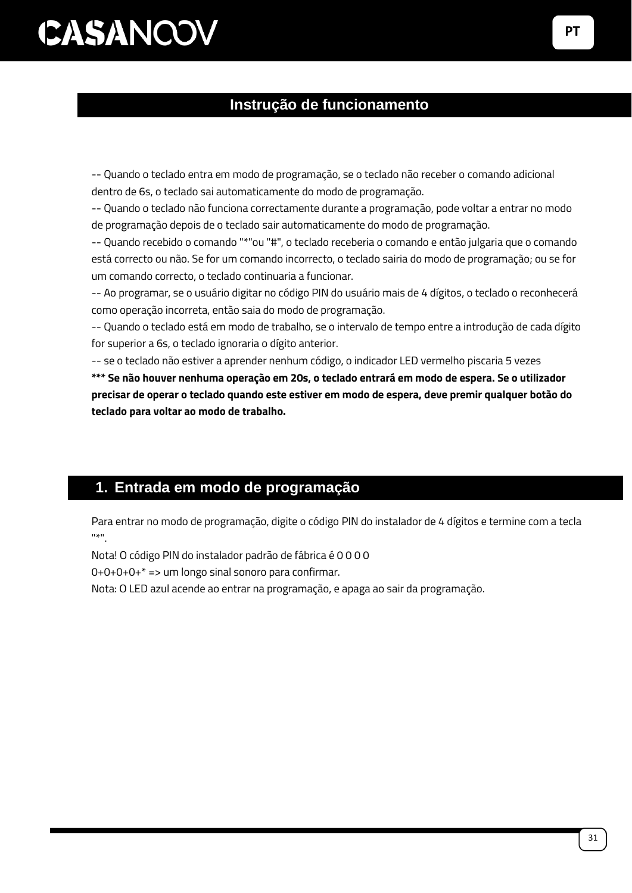#### **Instrução de funcionamento**

-- Quando o teclado entra em modo de programação, se o teclado não receber o comando adicional dentro de 6s, o teclado sai automaticamente do modo de programação.

-- Quando o teclado não funciona correctamente durante a programação, pode voltar a entrar no modo de programação depois de o teclado sair automaticamente do modo de programação.

-- Quando recebido o comando "\*"ou "#", o teclado receberia o comando e então julgaria que o comando está correcto ou não. Se for um comando incorrecto, o teclado sairia do modo de programação; ou se for um comando correcto, o teclado continuaria a funcionar.

-- Ao programar, se o usuário digitar no código PIN do usuário mais de 4 dígitos, o teclado o reconhecerá como operação incorreta, então saia do modo de programação.

-- Quando o teclado está em modo de trabalho, se o intervalo de tempo entre a introdução de cada dígito for superior a 6s, o teclado ignoraria o dígito anterior.

-- se o teclado não estiver a aprender nenhum código, o indicador LED vermelho piscaria 5 vezes

**\*\*\* Se não houver nenhuma operação em 20s, o teclado entrará em modo de espera. Se o utilizador precisar de operar o teclado quando este estiver em modo de espera, deve premir qualquer botão do teclado para voltar ao modo de trabalho.**

### **1. Entrada em modo de programação**

Para entrar no modo de programação, digite o código PIN do instalador de 4 dígitos e termine com a tecla  $"$ 

Nota! O código PIN do instalador padrão de fábrica é 0 0 0 0

 $0+0+0+0+* ==$  um longo sinal sonoro para confirmar.

Nota: O LED azul acende ao entrar na programação, e apaga ao sair da programação.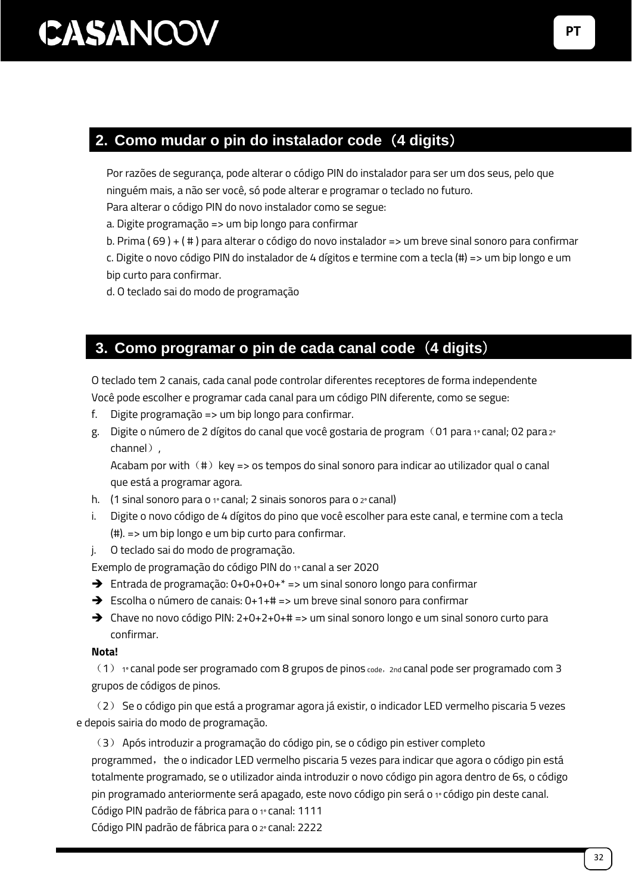### **2. Como mudar o pin do instalador code**(**4 digits**)

Por razões de segurança, pode alterar o código PIN do instalador para ser um dos seus, pelo que ninguém mais, a não ser você, só pode alterar e programar o teclado no futuro.

Para alterar o código PIN do novo instalador como se segue:

a. Digite programação => um bip longo para confirmar

b. Prima ( 69 ) + ( # ) para alterar o código do novo instalador => um breve sinal sonoro para confirmar c. Digite o novo código PIN do instalador de 4 dígitos e termine com a tecla (#) => um bip longo e um bip curto para confirmar.

d. O teclado sai do modo de programação

### **3. Como programar o pin de cada canal code**(**4 digits**)

O teclado tem 2 canais, cada canal pode controlar diferentes receptores de forma independente Você pode escolher e programar cada canal para um código PIN diferente, como se segue:

- f. Digite programação => um bip longo para confirmar.
- g. Digite o número de 2 dígitos do canal que você gostaria de program (01 para 1º canal; 02 para 2º channel).

Acabam por with  $(\#)$  key => os tempos do sinal sonoro para indicar ao utilizador qual o canal que está a programar agora.

- h. (1 sinal sonoro para o  $1$ ° canal; 2 sinais sonoros para o  $2$ ° canal)
- i. Digite o novo código de 4 dígitos do pino que você escolher para este canal, e termine com a tecla (#). => um bip longo e um bip curto para confirmar.
- j. O teclado sai do modo de programação.

Exemplo de programação do código PIN do 1º canal a ser 2020

- ➔ Entrada de programação: 0+0+0+0+\* => um sinal sonoro longo para confirmar
- ➔ Escolha o número de canais: 0+1+# => um breve sinal sonoro para confirmar
- ➔ Chave no novo código PIN: 2+0+2+0+# => um sinal sonoro longo e um sinal sonoro curto para confirmar.

#### **Nota!**

 $(1)$ <sub>1</sub>º canal pode ser programado com 8 grupos de pinos code, 2nd canal pode ser programado com 3 grupos de códigos de pinos.

(2) Se o código pin que está a programar agora já existir, o indicador LED vermelho piscaria 5 vezes e depois sairia do modo de programação.

(3) Após introduzir a programação do código pin, se o código pin estiver completo

programmed, the o indicador LED vermelho piscaria 5 vezes para indicar que agora o código pin está totalmente programado, se o utilizador ainda introduzir o novo código pin agora dentro de 6s, o código pin programado anteriormente será apagado, este novo código pin será o 1º código pin deste canal.

Código PIN padrão de fábrica para o 1º canal: 1111

Código PIN padrão de fábrica para o 2º canal: 2222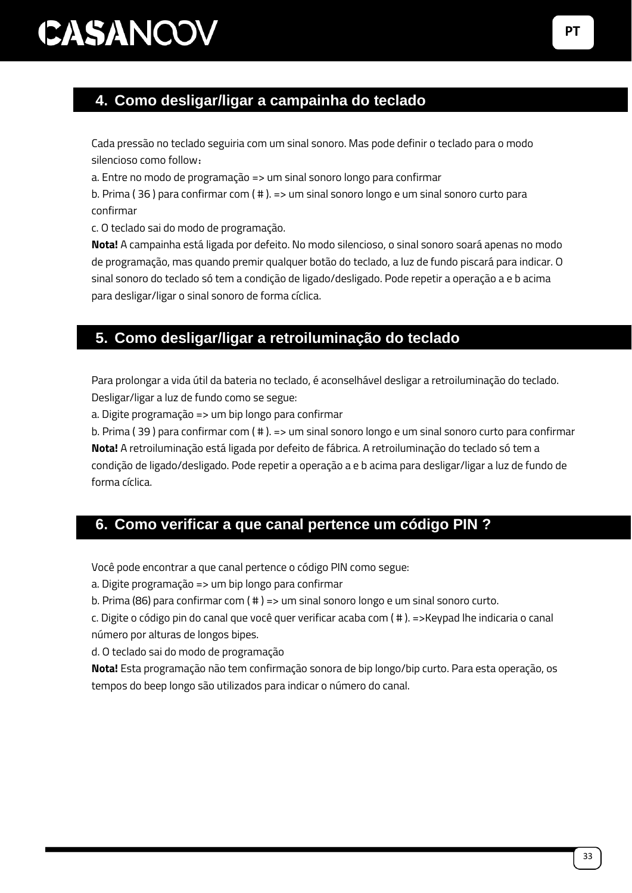### **4. Como desligar/ligar a campainha do teclado**

Cada pressão no teclado seguiria com um sinal sonoro. Mas pode definir o teclado para o modo silencioso como follow:

a. Entre no modo de programação => um sinal sonoro longo para confirmar

b. Prima ( 36 ) para confirmar com ( # ). => um sinal sonoro longo e um sinal sonoro curto para confirmar

c. O teclado sai do modo de programação.

**Nota!** A campainha está ligada por defeito. No modo silencioso, o sinal sonoro soará apenas no modo de programação, mas quando premir qualquer botão do teclado, a luz de fundo piscará para indicar. O sinal sonoro do teclado só tem a condição de ligado/desligado. Pode repetir a operação a e b acima para desligar/ligar o sinal sonoro de forma cíclica.

### **5. Como desligar/ligar a retroiluminação do teclado**

Para prolongar a vida útil da bateria no teclado, é aconselhável desligar a retroiluminação do teclado. Desligar/ligar a luz de fundo como se segue:

a. Digite programação => um bip longo para confirmar

b. Prima ( 39 ) para confirmar com ( # ). => um sinal sonoro longo e um sinal sonoro curto para confirmar **Nota!** A retroiluminação está ligada por defeito de fábrica. A retroiluminação do teclado só tem a condição de ligado/desligado. Pode repetir a operação a e b acima para desligar/ligar a luz de fundo de forma cíclica.

#### **6. Como verificar a que canal pertence um código PIN ?**

Você pode encontrar a que canal pertence o código PIN como segue:

a. Digite programação => um bip longo para confirmar

b. Prima (86) para confirmar com ( # ) => um sinal sonoro longo e um sinal sonoro curto.

c. Digite o código pin do canal que você quer verificar acaba com ( # ). =>Keypad lhe indicaria o canal número por alturas de longos bipes.

d. O teclado sai do modo de programação

**Nota!** Esta programação não tem confirmação sonora de bip longo/bip curto. Para esta operação, os tempos do beep longo são utilizados para indicar o número do canal.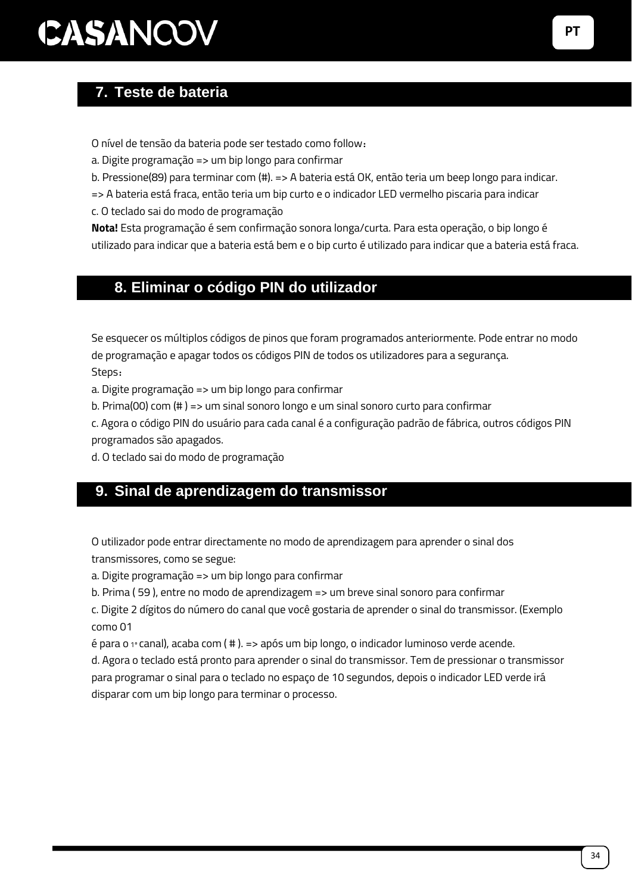### **7. Teste de bateria**

O nível de tensão da bateria pode ser testado como follow:

a. Digite programação => um bip longo para confirmar

b. Pressione(89) para terminar com (#). => A bateria está OK, então teria um beep longo para indicar.

=> A bateria está fraca, então teria um bip curto e o indicador LED vermelho piscaria para indicar

c. O teclado sai do modo de programação

**Nota!** Esta programação é sem confirmação sonora longa/curta. Para esta operação, o bip longo é utilizado para indicar que a bateria está bem e o bip curto é utilizado para indicar que a bateria está fraca.

#### 8. **8. Eliminar o código PIN do utilizador**

Se esquecer os múltiplos códigos de pinos que foram programados anteriormente. Pode entrar no modo de programação e apagar todos os códigos PIN de todos os utilizadores para a segurança. Steps:

a. Digite programação => um bip longo para confirmar

b. Prima(00) com (# ) => um sinal sonoro longo e um sinal sonoro curto para confirmar

c. Agora o código PIN do usuário para cada canal é a configuração padrão de fábrica, outros códigos PIN programados são apagados.

d. O teclado sai do modo de programação

#### **9. Sinal de aprendizagem do transmissor**

O utilizador pode entrar directamente no modo de aprendizagem para aprender o sinal dos transmissores, como se segue:

a. Digite programação => um bip longo para confirmar

b. Prima ( 59 ), entre no modo de aprendizagem => um breve sinal sonoro para confirmar

c. Digite 2 dígitos do número do canal que você gostaria de aprender o sinal do transmissor. (Exemplo como 01

 $\acute{\text{e}}$  para o 1º canal), acaba com (  $\#$  ). = > após um bip longo, o indicador luminoso verde acende.

d. Agora o teclado está pronto para aprender o sinal do transmissor. Tem de pressionar o transmissor para programar o sinal para o teclado no espaço de 10 segundos, depois o indicador LED verde irá disparar com um bip longo para terminar o processo.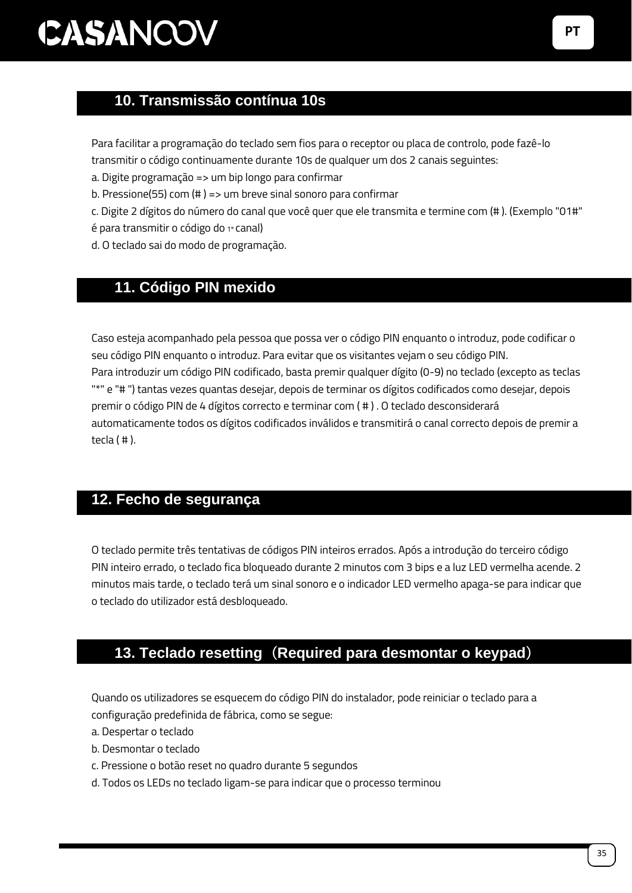### 10. **10. Transmissão contínua 10s**

Para facilitar a programação do teclado sem fios para o receptor ou placa de controlo, pode fazê-lo

transmitir o código continuamente durante 10s de qualquer um dos 2 canais seguintes:

a. Digite programação => um bip longo para confirmar

b. Pressione(55) com (# ) => um breve sinal sonoro para confirmar

c. Digite 2 dígitos do número do canal que você quer que ele transmita e termine com (# ). (Exemplo "01#"

é para transmitir o código do 1º canal)

d. O teclado sai do modo de programação.

### 11. **11. Código PIN mexido**

Caso esteja acompanhado pela pessoa que possa ver o código PIN enquanto o introduz, pode codificar o seu código PIN enquanto o introduz. Para evitar que os visitantes vejam o seu código PIN. Para introduzir um código PIN codificado, basta premir qualquer dígito (0-9) no teclado (excepto as teclas "\*" e "# ") tantas vezes quantas desejar, depois de terminar os dígitos codificados como desejar, depois premir o código PIN de 4 dígitos correcto e terminar com ( # ) . O teclado desconsiderará automaticamente todos os dígitos codificados inválidos e transmitirá o canal correcto depois de premir a tecla ( # ).

#### **12. Fecho de segurança**

O teclado permite três tentativas de códigos PIN inteiros errados. Após a introdução do terceiro código PIN inteiro errado, o teclado fica bloqueado durante 2 minutos com 3 bips e a luz LED vermelha acende. 2 minutos mais tarde, o teclado terá um sinal sonoro e o indicador LED vermelho apaga-se para indicar que o teclado do utilizador está desbloqueado.

### 12. **13. Teclado resetting**(**Required para desmontar o keypad**)

Quando os utilizadores se esquecem do código PIN do instalador, pode reiniciar o teclado para a configuração predefinida de fábrica, como se segue:

- a. Despertar o teclado
- b. Desmontar o teclado
- c. Pressione o botão reset no quadro durante 5 segundos
- d. Todos os LEDs no teclado ligam-se para indicar que o processo terminou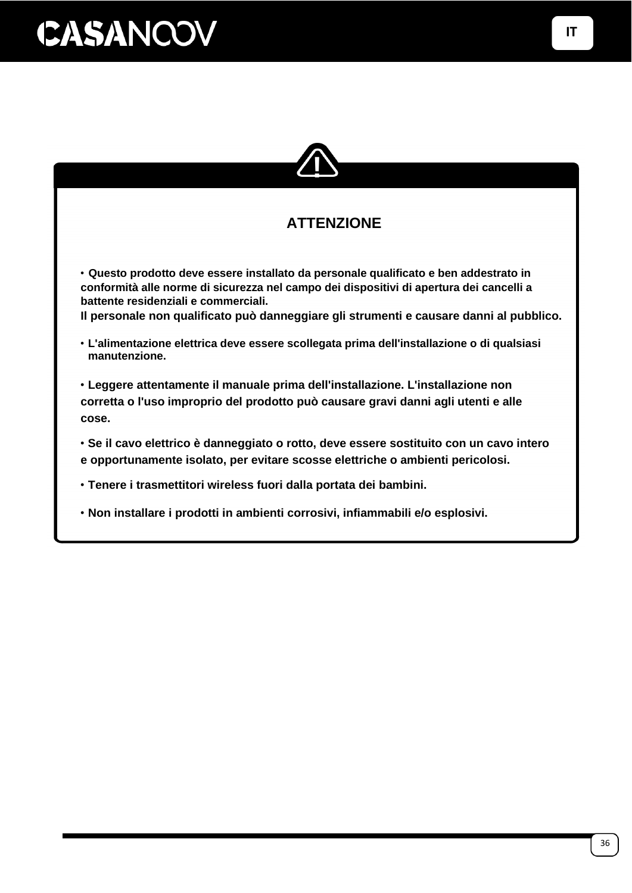

### **ATTENZIONE**

• **Questo prodotto deve essere installato da personale qualificato e ben addestrato in conformità alle norme di sicurezza nel campo dei dispositivi di apertura dei cancelli a battente residenziali e commerciali.**

**Il personale non qualificato può danneggiare gli strumenti e causare danni al pubblico.**

• **L'alimentazione elettrica deve essere scollegata prima dell'installazione o di qualsiasi manutenzione.**

• **Leggere attentamente il manuale prima dell'installazione. L'installazione non corretta o l'uso improprio del prodotto può causare gravi danni agli utenti e alle cose.**

• **Se il cavo elettrico è danneggiato o rotto, deve essere sostituito con un cavo intero e opportunamente isolato, per evitare scosse elettriche o ambienti pericolosi.**

• **Tenere i trasmettitori wireless fuori dalla portata dei bambini.**

• **Non installare i prodotti in ambienti corrosivi, infiammabili e/o esplosivi.**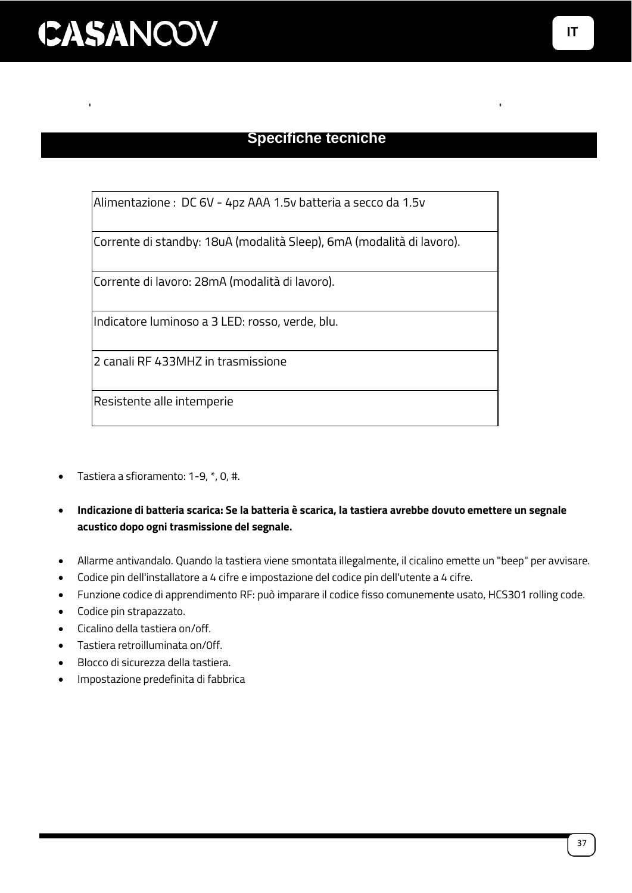#### **Specifiche tecniche**

Alimentazione : DC 6V - 4pz AAA 1.5v batteria a secco da 1.5v

Corrente di standby: 18uA (modalità Sleep), 6mA (modalità di lavoro).

Corrente di lavoro: 28mA (modalità di lavoro).

Indicatore luminoso a 3 LED: rosso, verde, blu.

2 canali RF 433MHZ in trasmissione

Resistente alle intemperie

- Tastiera a sfioramento: 1-9, \*, 0, #.
- **Indicazione di batteria scarica: Se la batteria è scarica, la tastiera avrebbe dovuto emettere un segnale acustico dopo ogni trasmissione del segnale.**
- Allarme antivandalo. Quando la tastiera viene smontata illegalmente, il cicalino emette un "beep" per avvisare.
- Codice pin dell'installatore a 4 cifre e impostazione del codice pin dell'utente a 4 cifre.
- Funzione codice di apprendimento RF: può imparare il codice fisso comunemente usato, HCS301 rolling code.
- Codice pin strapazzato.
- Cicalino della tastiera on/off.
- Tastiera retroilluminata on/0ff.
- Blocco di sicurezza della tastiera.
- Impostazione predefinita di fabbrica

**IT**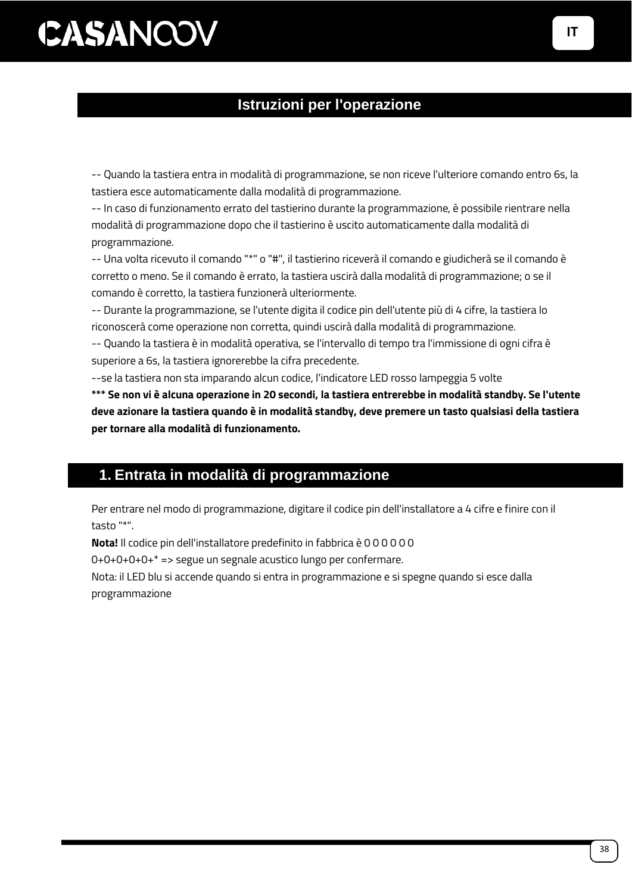#### **Istruzioni per l'operazione**

-- Quando la tastiera entra in modalità di programmazione, se non riceve l'ulteriore comando entro 6s, la tastiera esce automaticamente dalla modalità di programmazione.

-- In caso di funzionamento errato del tastierino durante la programmazione, è possibile rientrare nella modalità di programmazione dopo che il tastierino è uscito automaticamente dalla modalità di programmazione.

-- Una volta ricevuto il comando "\*" o "#", il tastierino riceverà il comando e giudicherà se il comando è corretto o meno. Se il comando è errato, la tastiera uscirà dalla modalità di programmazione; o se il comando è corretto, la tastiera funzionerà ulteriormente.

-- Durante la programmazione, se l'utente digita il codice pin dell'utente più di 4 cifre, la tastiera lo riconoscerà come operazione non corretta, quindi uscirà dalla modalità di programmazione.

-- Quando la tastiera è in modalità operativa, se l'intervallo di tempo tra l'immissione di ogni cifra è superiore a 6s, la tastiera ignorerebbe la cifra precedente.

--se la tastiera non sta imparando alcun codice, l'indicatore LED rosso lampeggia 5 volte

**\*\*\* Se non vi è alcuna operazione in 20 secondi, la tastiera entrerebbe in modalità standby. Se l'utente deve azionare la tastiera quando è in modalità standby, deve premere un tasto qualsiasi della tastiera per tornare alla modalità di funzionamento.**

#### **1. Entrata in modalità di programmazione**

Per entrare nel modo di programmazione, digitare il codice pin dell'installatore a 4 cifre e finire con il tasto "\*".

**Nota!** Il codice pin dell'installatore predefinito in fabbrica è 0 0 0 0 0 0

0+0+0+0+0+\* => segue un segnale acustico lungo per confermare.

Nota: il LED blu si accende quando si entra in programmazione e si spegne quando si esce dalla programmazione

**I**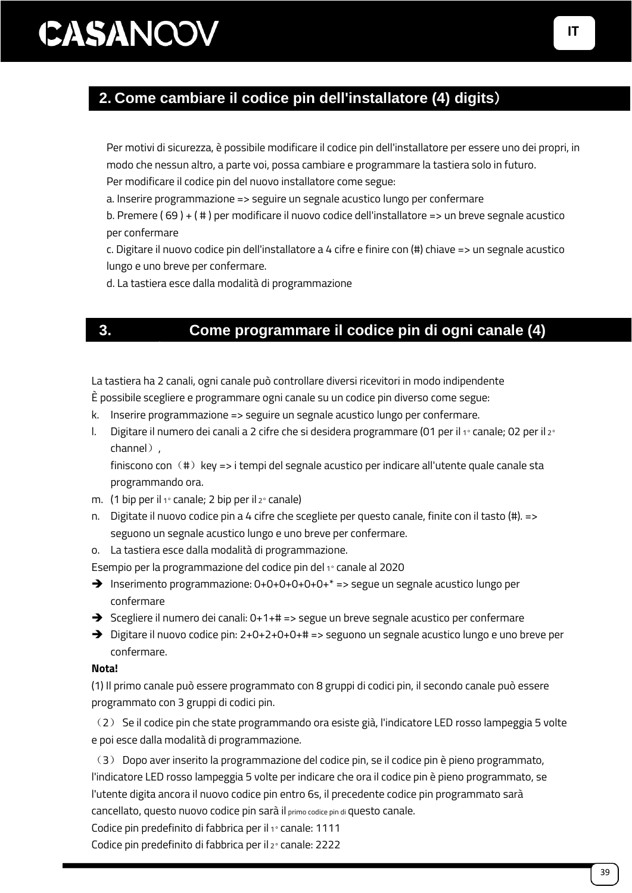**digits**)

### **2. Come cambiare il codice pin dell'installatore (4) digits**)

Per motivi di sicurezza, è possibile modificare il codice pin dell'installatore per essere uno dei propri, in modo che nessun altro, a parte voi, possa cambiare e programmare la tastiera solo in futuro. Per modificare il codice pin del nuovo installatore come segue:

a. Inserire programmazione => seguire un segnale acustico lungo per confermare

b. Premere ( 69 ) + ( # ) per modificare il nuovo codice dell'installatore => un breve segnale acustico per confermare

c. Digitare il nuovo codice pin dell'installatore a 4 cifre e finire con (#) chiave => un segnale acustico lungo e uno breve per confermare.

d. La tastiera esce dalla modalità di programmazione

### **3. Come programmare il codice pin di ogni canale (4)**

La tastiera ha 2 canali, ogni canale può controllare diversi ricevitori in modo indipendente È possibile scegliere e programmare ogni canale su un codice pin diverso come segue:

- k. Inserire programmazione => seguire un segnale acustico lungo per confermare.
- l. Digitare il numero dei canali a 2 cifre che si desidera programmare (01 per il 1<sup>°</sup> canale; 02 per il 2<sup>°</sup> channel).

finiscono con  $(4)$  key => i tempi del segnale acustico per indicare all'utente quale canale sta programmando ora.

- m. (1 bip per il 1° canale; 2 bip per il 2° canale)
- n. Digitate il nuovo codice pin a 4 cifre che scegliete per questo canale, finite con il tasto (#). => seguono un segnale acustico lungo e uno breve per confermare.
- o. La tastiera esce dalla modalità di programmazione.

Esempio per la programmazione del codice pin del 1° canale al 2020

- $\rightarrow$  Inserimento programmazione: 0+0+0+0+0+0+ $^*$  => segue un segnale acustico lungo per confermare
- ➔ Scegliere il numero dei canali: 0+1+# => segue un breve segnale acustico per confermare
- ➔ Digitare il nuovo codice pin: 2+0+2+0+0+# => seguono un segnale acustico lungo e uno breve per confermare.

#### **Nota!**

(1) Il primo canale può essere programmato con 8 gruppi di codici pin, il secondo canale può essere programmato con 3 gruppi di codici pin.

(2) Se il codice pin che state programmando ora esiste già, l'indicatore LED rosso lampeggia 5 volte e poi esce dalla modalità di programmazione.

(3) Dopo aver inserito la programmazione del codice pin, se il codice pin è pieno programmato, l'indicatore LED rosso lampeggia 5 volte per indicare che ora il codice pin è pieno programmato, se l'utente digita ancora il nuovo codice pin entro 6s, il precedente codice pin programmato sarà cancellato, questo nuovo codice pin sarà il primo codice pin di questo canale.

Codice pin predefinito di fabbrica per il 1° canale: 1111

Codice pin predefinito di fabbrica per il 2° canale: 2222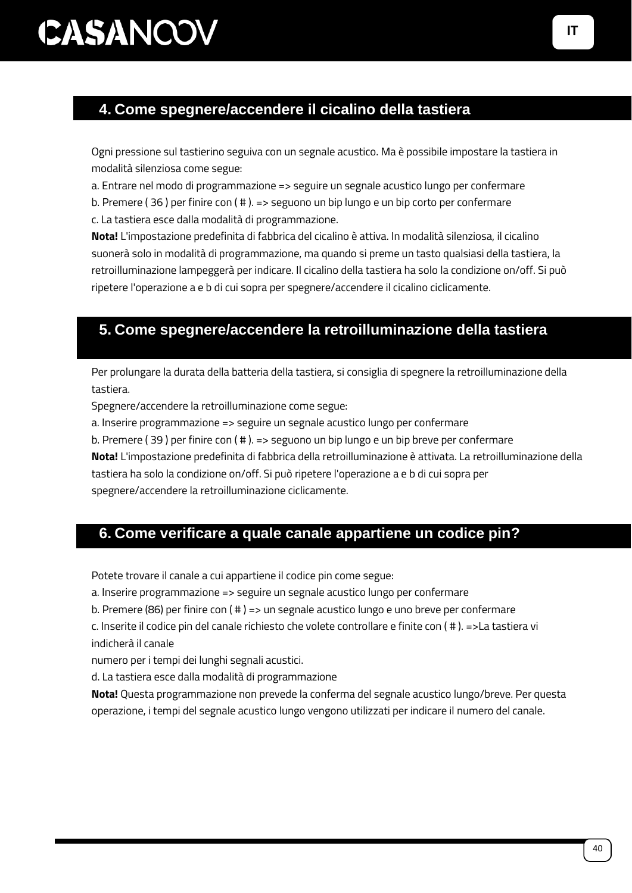### **4. Come spegnere/accendere il cicalino della tastiera**

Ogni pressione sul tastierino seguiva con un segnale acustico. Ma è possibile impostare la tastiera in modalità silenziosa come segue:

a. Entrare nel modo di programmazione => seguire un segnale acustico lungo per confermare

b. Premere ( 36 ) per finire con ( # ). => seguono un bip lungo e un bip corto per confermare

c. La tastiera esce dalla modalità di programmazione.

**Nota!** L'impostazione predefinita di fabbrica del cicalino è attiva. In modalità silenziosa, il cicalino suonerà solo in modalità di programmazione, ma quando si preme un tasto qualsiasi della tastiera, la retroilluminazione lampeggerà per indicare. Il cicalino della tastiera ha solo la condizione on/off. Si può ripetere l'operazione a e b di cui sopra per spegnere/accendere il cicalino ciclicamente.

### **5. Come spegnere/accendere la retroilluminazione della tastiera**

Per prolungare la durata della batteria della tastiera, si consiglia di spegnere la retroilluminazione della tastiera.

Spegnere/accendere la retroilluminazione come segue:

a. Inserire programmazione => seguire un segnale acustico lungo per confermare

b. Premere ( 39 ) per finire con ( # ). => seguono un bip lungo e un bip breve per confermare **Nota!** L'impostazione predefinita di fabbrica della retroilluminazione è attivata. La retroilluminazione della tastiera ha solo la condizione on/off. Si può ripetere l'operazione a e b di cui sopra per

spegnere/accendere la retroilluminazione ciclicamente.

### **6. Come verificare a quale canale appartiene un codice pin?**

Potete trovare il canale a cui appartiene il codice pin come segue:

a. Inserire programmazione => seguire un segnale acustico lungo per confermare

b. Premere (86) per finire con ( # ) => un segnale acustico lungo e uno breve per confermare

c. Inserite il codice pin del canale richiesto che volete controllare e finite con ( # ). =>La tastiera vi indicherà il canale

numero per i tempi dei lunghi segnali acustici.

d. La tastiera esce dalla modalità di programmazione

**Nota!** Questa programmazione non prevede la conferma del segnale acustico lungo/breve. Per questa operazione, i tempi del segnale acustico lungo vengono utilizzati per indicare il numero del canale.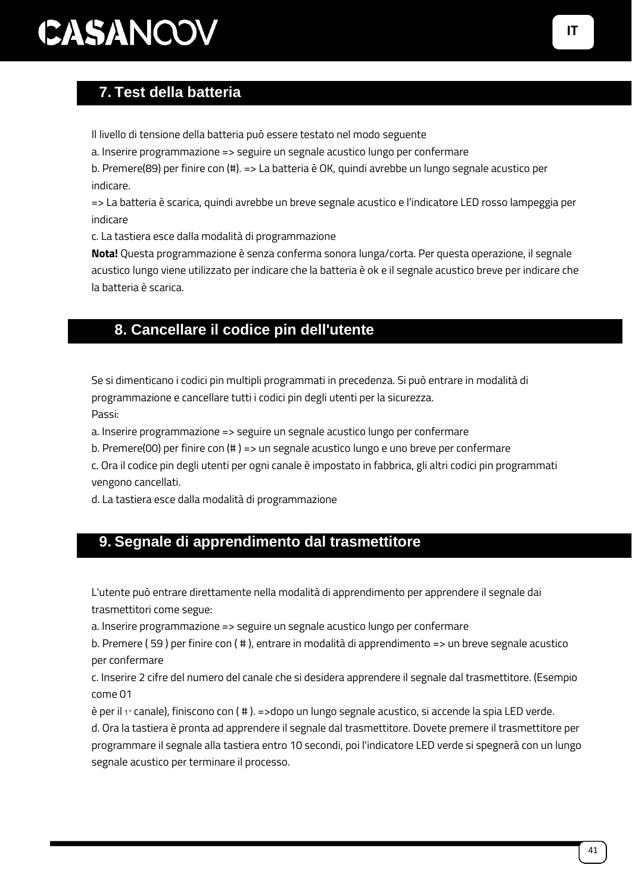### **7. Test della batteria**

Il livello di tensione della batteria può essere testato nel modo seguente

a. Inserire programmazione => seguire un segnale acustico lungo per confermare

b. Premere(89) per finire con (#). => La batteria è OK, quindi avrebbe un lungo segnale acustico per indicare.

=> La batteria è scarica, quindi avrebbe un breve segnale acustico e l'indicatore LED rosso lampeggia per indicare

c. La tastiera esce dalla modalità di programmazione

**Nota!** Questa programmazione è senza conferma sonora lunga/corta. Per questa operazione, il segnale acustico lungo viene utilizzato per indicare che la batteria è ok e il segnale acustico breve per indicare che la batteria è scarica.

#### 8. **8. Cancellare il codice pin dell'utente**

Se si dimenticano i codici pin multipli programmati in precedenza. Si può entrare in modalità di programmazione e cancellare tutti i codici pin degli utenti per la sicurezza. Passi:

a. Inserire programmazione => seguire un segnale acustico lungo per confermare

b. Premere(00) per finire con (# ) => un segnale acustico lungo e uno breve per confermare

c. Ora il codice pin degli utenti per ogni canale è impostato in fabbrica, gli altri codici pin programmati vengono cancellati.

d. La tastiera esce dalla modalità di programmazione

#### **9. Segnale di apprendimento dal trasmettitore**

L'utente può entrare direttamente nella modalità di apprendimento per apprendere il segnale dai trasmettitori come segue:

a. Inserire programmazione => seguire un segnale acustico lungo per confermare

b. Premere ( 59 ) per finire con ( # ), entrare in modalità di apprendimento => un breve segnale acustico per confermare

c. Inserire 2 cifre del numero del canale che si desidera apprendere il segnale dal trasmettitore. (Esempio come 01

è per il 1° canale), finiscono con ( # ). =>dopo un lungo segnale acustico, si accende la spia LED verde.

d. Ora la tastiera è pronta ad apprendere il segnale dal trasmettitore. Dovete premere il trasmettitore per programmare il segnale alla tastiera entro 10 secondi, poi l'indicatore LED verde si spegnerà con un lungo segnale acustico per terminare il processo.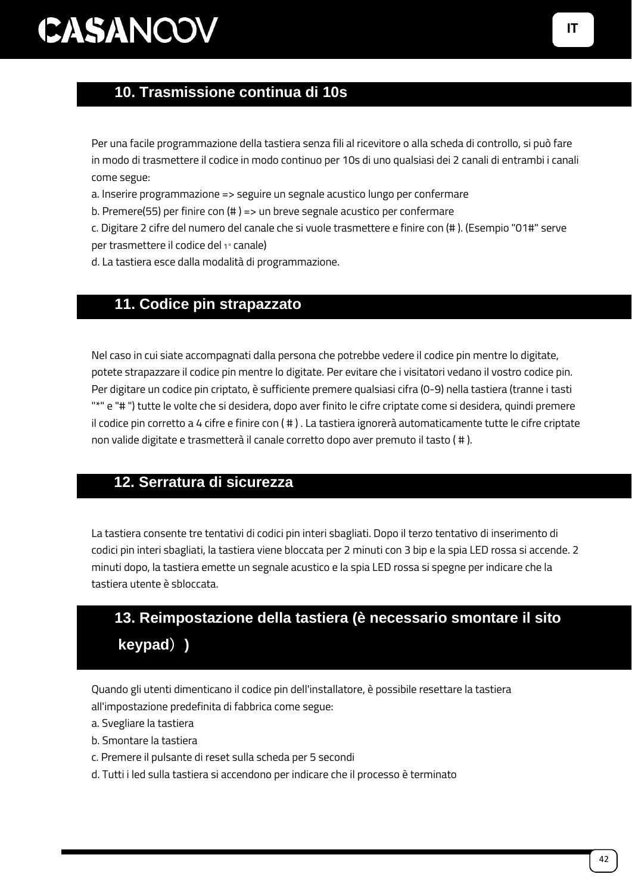### 10.**10. Trasmissione continua di 10s**

Per una facile programmazione della tastiera senza fili al ricevitore o alla scheda di controllo, si può fare in modo di trasmettere il codice in modo continuo per 10s di uno qualsiasi dei 2 canali di entrambi i canali come segue:

a. Inserire programmazione => seguire un segnale acustico lungo per confermare

b. Premere(55) per finire con (# ) => un breve segnale acustico per confermare

c. Digitare 2 cifre del numero del canale che si vuole trasmettere e finire con (# ). (Esempio "01#" serve per trasmettere il codice del 1° canale)

d. La tastiera esce dalla modalità di programmazione.

#### 11.**11. Codice pin strapazzato**

Nel caso in cui siate accompagnati dalla persona che potrebbe vedere il codice pin mentre lo digitate, potete strapazzare il codice pin mentre lo digitate. Per evitare che i visitatori vedano il vostro codice pin. Per digitare un codice pin criptato, è sufficiente premere qualsiasi cifra (0-9) nella tastiera (tranne i tasti "\*" e "# ") tutte le volte che si desidera, dopo aver finito le cifre criptate come si desidera, quindi premere il codice pin corretto a 4 cifre e finire con ( # ) . La tastiera ignorerà automaticamente tutte le cifre criptate non valide digitate e trasmetterà il canale corretto dopo aver premuto il tasto ( # ).

#### **12. Serratura di sicurezza**

La tastiera consente tre tentativi di codici pin interi sbagliati. Dopo il terzo tentativo di inserimento di codici pin interi sbagliati, la tastiera viene bloccata per 2 minuti con 3 bip e la spia LED rossa si accende. 2 minuti dopo, la tastiera emette un segnale acustico e la spia LED rossa si spegne per indicare che la tastiera utente è sbloccata.

### 12.**13. Reimpostazione della tastiera (è necessario smontare il sito keypad**)**)**

Quando gli utenti dimenticano il codice pin dell'installatore, è possibile resettare la tastiera all'impostazione predefinita di fabbrica come segue:

- a. Svegliare la tastiera
- b. Smontare la tastiera
- c. Premere il pulsante di reset sulla scheda per 5 secondi
- d. Tutti i led sulla tastiera si accendono per indicare che il processo è terminato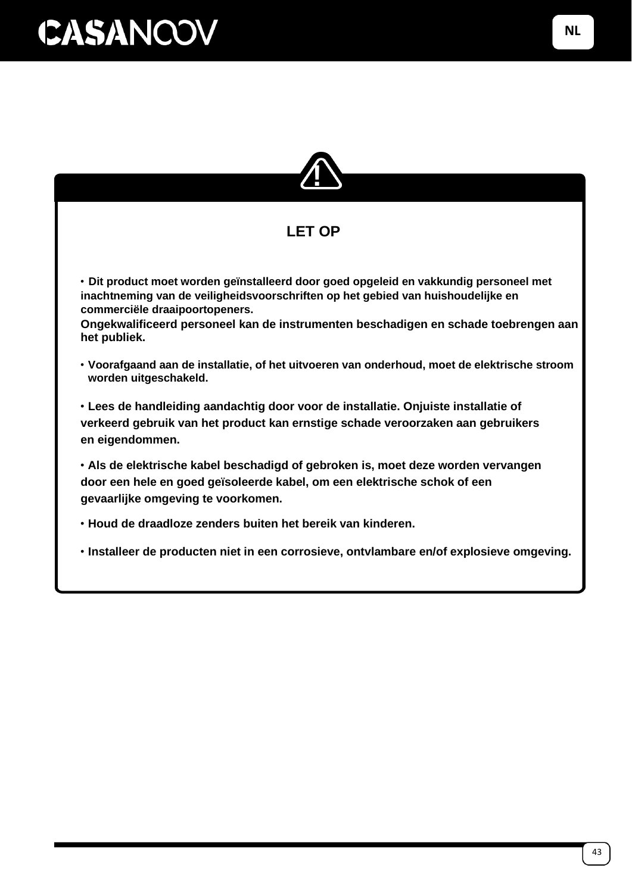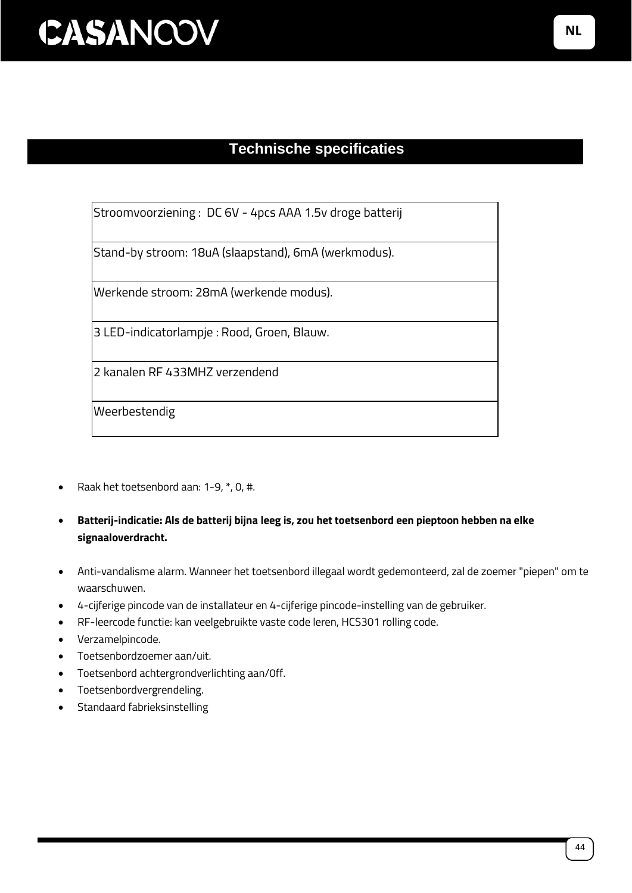### **Technische specificaties**

Stroomvoorziening : DC 6V - 4pcs AAA 1.5v droge batterij

Stand-by stroom: 18uA (slaapstand), 6mA (werkmodus).

Werkende stroom: 28mA (werkende modus).

3 LED-indicatorlampje : Rood, Groen, Blauw.

2 kanalen RF 433MHZ verzendend

Weerbestendig

- Raak het toetsenbord aan: 1-9, \*, 0, #.
- **Batterij-indicatie: Als de batterij bijna leeg is, zou het toetsenbord een pieptoon hebben na elke signaaloverdracht.**
- Anti-vandalisme alarm. Wanneer het toetsenbord illegaal wordt gedemonteerd, zal de zoemer "piepen" om te waarschuwen.
- 4-cijferige pincode van de installateur en 4-cijferige pincode-instelling van de gebruiker.
- RF-leercode functie: kan veelgebruikte vaste code leren, HCS301 rolling code.
- Verzamelpincode.
- Toetsenbordzoemer aan/uit.
- Toetsenbord achtergrondverlichting aan/0ff.
- Toetsenbordvergrendeling.
- Standaard fabrieksinstelling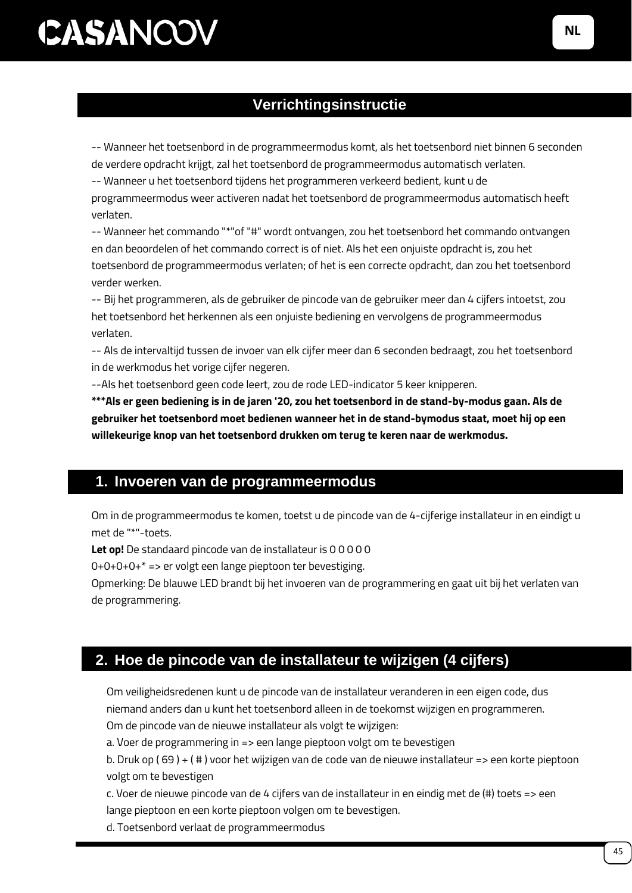### **Verrichtingsinstructie**

-- Wanneer het toetsenbord in de programmeermodus komt, als het toetsenbord niet binnen 6 seconden de verdere opdracht krijgt, zal het toetsenbord de programmeermodus automatisch verlaten.

-- Wanneer u het toetsenbord tijdens het programmeren verkeerd bedient, kunt u de

programmeermodus weer activeren nadat het toetsenbord de programmeermodus automatisch heeft verlaten.

-- Wanneer het commando "\*"of "#" wordt ontvangen, zou het toetsenbord het commando ontvangen en dan beoordelen of het commando correct is of niet. Als het een onjuiste opdracht is, zou het toetsenbord de programmeermodus verlaten; of het is een correcte opdracht, dan zou het toetsenbord verder werken.

-- Bij het programmeren, als de gebruiker de pincode van de gebruiker meer dan 4 cijfers intoetst, zou het toetsenbord het herkennen als een onjuiste bediening en vervolgens de programmeermodus verlaten.

-- Als de intervaltijd tussen de invoer van elk cijfer meer dan 6 seconden bedraagt, zou het toetsenbord in de werkmodus het vorige cijfer negeren.

--Als het toetsenbord geen code leert, zou de rode LED-indicator 5 keer knipperen.

**\*\*\*Als er geen bediening is in de jaren '20, zou het toetsenbord in de stand-by-modus gaan. Als de gebruiker het toetsenbord moet bedienen wanneer het in de stand-bymodus staat, moet hij op een willekeurige knop van het toetsenbord drukken om terug te keren naar de werkmodus.**

#### **1. Invoeren van de programmeermodus**

Om in de programmeermodus te komen, toetst u de pincode van de 4-cijferige installateur in en eindigt u met de "\*"-toets.

**Let op!** De standaard pincode van de installateur is 0 0 0 0 0

0+0+0+0+\* => er volgt een lange pieptoon ter bevestiging.

Opmerking: De blauwe LED brandt bij het invoeren van de programmering en gaat uit bij het verlaten van de programmering.

### **2. Hoe de pincode van de installateur te wijzigen (4 cijfers)**

Om veiligheidsredenen kunt u de pincode van de installateur veranderen in een eigen code, dus niemand anders dan u kunt het toetsenbord alleen in de toekomst wijzigen en programmeren. Om de pincode van de nieuwe installateur als volgt te wijzigen:

a. Voer de programmering in => een lange pieptoon volgt om te bevestigen

b. Druk op ( 69 ) + ( # ) voor het wijzigen van de code van de nieuwe installateur => een korte pieptoon volgt om te bevestigen

c. Voer de nieuwe pincode van de 4 cijfers van de installateur in en eindig met de (#) toets => een lange pieptoon en een korte pieptoon volgen om te bevestigen.

d. Toetsenbord verlaat de programmeermodus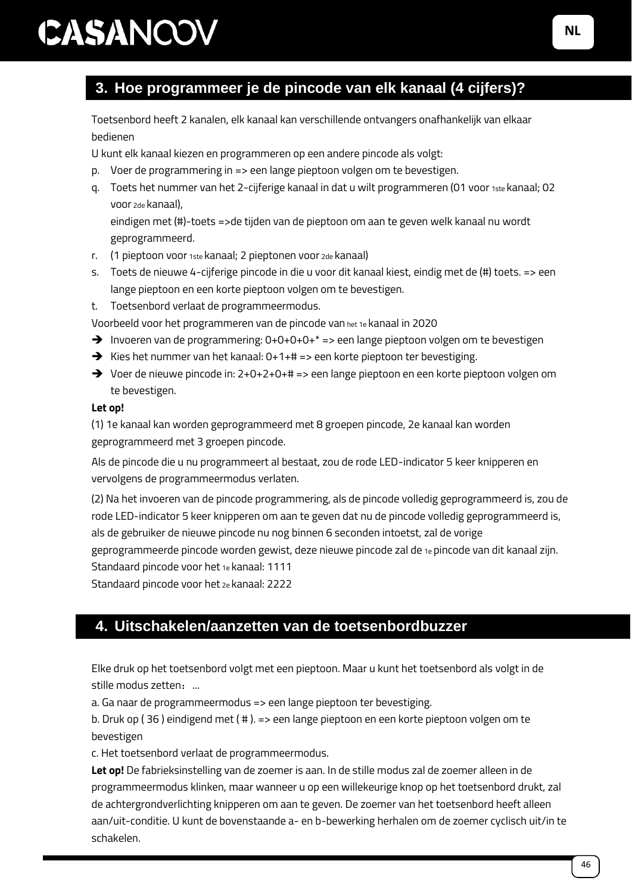### **3. Hoe programmeer je de pincode van elk kanaal (4 cijfers)?**

Toetsenbord heeft 2 kanalen, elk kanaal kan verschillende ontvangers onafhankelijk van elkaar bedienen

U kunt elk kanaal kiezen en programmeren op een andere pincode als volgt:

- p. Voer de programmering in => een lange pieptoon volgen om te bevestigen.
- q. Toets het nummer van het 2-cijferige kanaal in dat u wilt programmeren (01 voor 1ste kanaal; 02 voor 2de kanaal),

eindigen met (#)-toets =>de tijden van de pieptoon om aan te geven welk kanaal nu wordt geprogrammeerd.

- r. (1 pieptoon voor 1ste kanaal; 2 pieptonen voor 2de kanaal)
- s. Toets de nieuwe 4-cijferige pincode in die u voor dit kanaal kiest, eindig met de (#) toets. => een lange pieptoon en een korte pieptoon volgen om te bevestigen.
- t. Toetsenbord verlaat de programmeermodus.

Voorbeeld voor het programmeren van de pincode van het 1e kanaal in 2020

- → Invoeren van de programmering: 0+0+0+0+<sup>\*</sup> => een lange pieptoon volgen om te bevestigen
- $\rightarrow$  Kies het nummer van het kanaal: 0+1+# => een korte pieptoon ter bevestiging.
- ➔ Voer de nieuwe pincode in: 2+0+2+0+# => een lange pieptoon en een korte pieptoon volgen om te bevestigen.

#### **Let op!**

(1) 1e kanaal kan worden geprogrammeerd met 8 groepen pincode, 2e kanaal kan worden geprogrammeerd met 3 groepen pincode.

Als de pincode die u nu programmeert al bestaat, zou de rode LED-indicator 5 keer knipperen en vervolgens de programmeermodus verlaten.

(2) Na het invoeren van de pincode programmering, als de pincode volledig geprogrammeerd is, zou de rode LED-indicator 5 keer knipperen om aan te geven dat nu de pincode volledig geprogrammeerd is, als de gebruiker de nieuwe pincode nu nog binnen 6 seconden intoetst, zal de vorige geprogrammeerde pincode worden gewist, deze nieuwe pincode zal de 1e pincode van dit kanaal zijn. Standaard pincode voor het 1e kanaal: 1111

Standaard pincode voor het 2e kanaal: 2222

#### **4. Uitschakelen/aanzetten van de toetsenbordbuzzer**

Elke druk op het toetsenbord volgt met een pieptoon. Maar u kunt het toetsenbord als volgt in de stille modus zetten: ...

a. Ga naar de programmeermodus => een lange pieptoon ter bevestiging.

b. Druk op ( 36 ) eindigend met ( # ). => een lange pieptoon en een korte pieptoon volgen om te bevestigen

c. Het toetsenbord verlaat de programmeermodus.

**Let op!** De fabrieksinstelling van de zoemer is aan. In de stille modus zal de zoemer alleen in de programmeermodus klinken, maar wanneer u op een willekeurige knop op het toetsenbord drukt, zal de achtergrondverlichting knipperen om aan te geven. De zoemer van het toetsenbord heeft alleen aan/uit-conditie. U kunt de bovenstaande a- en b-bewerking herhalen om de zoemer cyclisch uit/in te schakelen.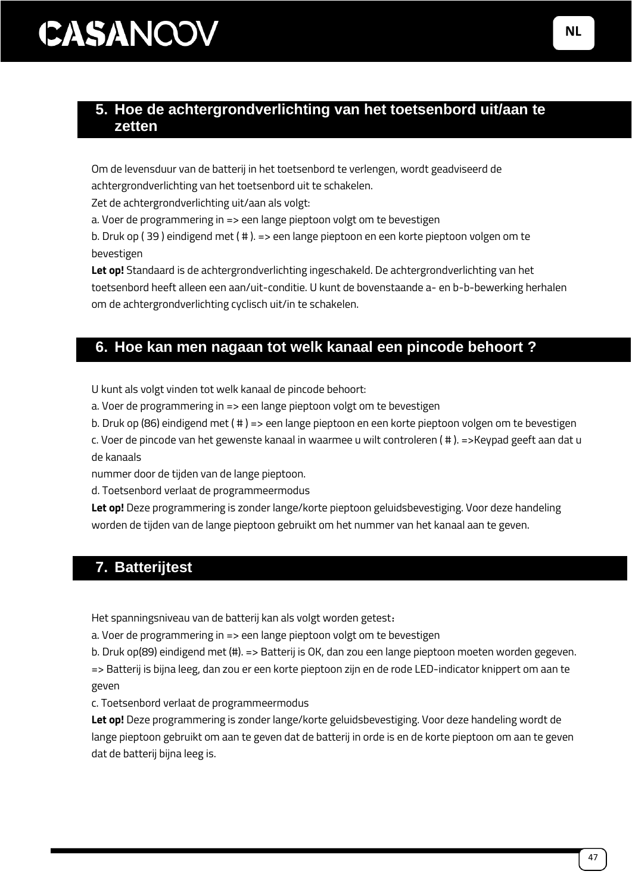#### **5. Hoe de achtergrondverlichting van het toetsenbord uit/aan te zetten**

Om de levensduur van de batterij in het toetsenbord te verlengen, wordt geadviseerd de

achtergrondverlichting van het toetsenbord uit te schakelen.

Zet de achtergrondverlichting uit/aan als volgt:

a. Voer de programmering in => een lange pieptoon volgt om te bevestigen

b. Druk op ( 39 ) eindigend met ( # ). => een lange pieptoon en een korte pieptoon volgen om te bevestigen

**Let op!** Standaard is de achtergrondverlichting ingeschakeld. De achtergrondverlichting van het toetsenbord heeft alleen een aan/uit-conditie. U kunt de bovenstaande a- en b-b-bewerking herhalen om de achtergrondverlichting cyclisch uit/in te schakelen.

### **6. Hoe kan men nagaan tot welk kanaal een pincode behoort ?**

U kunt als volgt vinden tot welk kanaal de pincode behoort:

a. Voer de programmering in => een lange pieptoon volgt om te bevestigen

b. Druk op (86) eindigend met ( # ) => een lange pieptoon en een korte pieptoon volgen om te bevestigen

c. Voer de pincode van het gewenste kanaal in waarmee u wilt controleren ( # ). =>Keypad geeft aan dat u de kanaals

nummer door de tijden van de lange pieptoon.

d. Toetsenbord verlaat de programmeermodus

**Let op!** Deze programmering is zonder lange/korte pieptoon geluidsbevestiging. Voor deze handeling worden de tijden van de lange pieptoon gebruikt om het nummer van het kanaal aan te geven.

### **7. Batterijtest**

Het spanningsniveau van de batterij kan als volgt worden getest:

a. Voer de programmering in => een lange pieptoon volgt om te bevestigen

b. Druk op(89) eindigend met (#). => Batterij is OK, dan zou een lange pieptoon moeten worden gegeven. => Batterij is bijna leeg, dan zou er een korte pieptoon zijn en de rode LED-indicator knippert om aan te geven

c. Toetsenbord verlaat de programmeermodus

**Let op!** Deze programmering is zonder lange/korte geluidsbevestiging. Voor deze handeling wordt de lange pieptoon gebruikt om aan te geven dat de batterij in orde is en de korte pieptoon om aan te geven dat de batterij bijna leeg is.

**NL**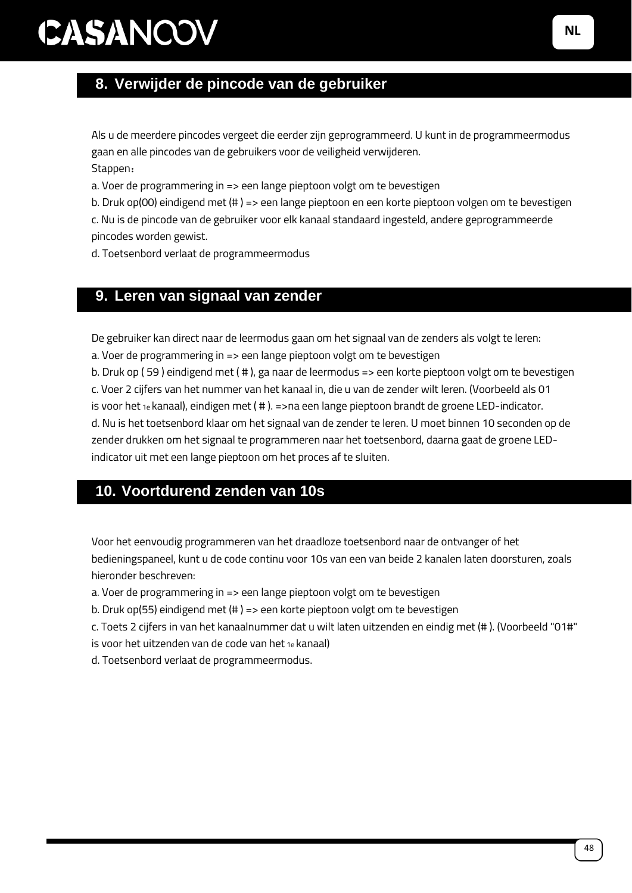### **8. Verwijder de pincode van de gebruiker**

Als u de meerdere pincodes vergeet die eerder zijn geprogrammeerd. U kunt in de programmeermodus gaan en alle pincodes van de gebruikers voor de veiligheid verwijderen. Stappen:

a. Voer de programmering in => een lange pieptoon volgt om te bevestigen

b. Druk op(00) eindigend met (# ) => een lange pieptoon en een korte pieptoon volgen om te bevestigen

c. Nu is de pincode van de gebruiker voor elk kanaal standaard ingesteld, andere geprogrammeerde pincodes worden gewist.

d. Toetsenbord verlaat de programmeermodus

#### **9. Leren van signaal van zender**

De gebruiker kan direct naar de leermodus gaan om het signaal van de zenders als volgt te leren:

a. Voer de programmering in => een lange pieptoon volgt om te bevestigen

b. Druk op ( 59 ) eindigend met ( # ), ga naar de leermodus => een korte pieptoon volgt om te bevestigen c. Voer 2 cijfers van het nummer van het kanaal in, die u van de zender wilt leren. (Voorbeeld als 01 is voor het 1e kanaal), eindigen met ( # ). =>na een lange pieptoon brandt de groene LED-indicator. d. Nu is het toetsenbord klaar om het signaal van de zender te leren. U moet binnen 10 seconden op de zender drukken om het signaal te programmeren naar het toetsenbord, daarna gaat de groene LEDindicator uit met een lange pieptoon om het proces af te sluiten.

#### **10. Voortdurend zenden van 10s**

Voor het eenvoudig programmeren van het draadloze toetsenbord naar de ontvanger of het bedieningspaneel, kunt u de code continu voor 10s van een van beide 2 kanalen laten doorsturen, zoals hieronder beschreven:

a. Voer de programmering in => een lange pieptoon volgt om te bevestigen

b. Druk op(55) eindigend met (# ) => een korte pieptoon volgt om te bevestigen

c. Toets 2 cijfers in van het kanaalnummer dat u wilt laten uitzenden en eindig met (# ). (Voorbeeld "01#" is voor het uitzenden van de code van het 1e kanaal)

d. Toetsenbord verlaat de programmeermodus.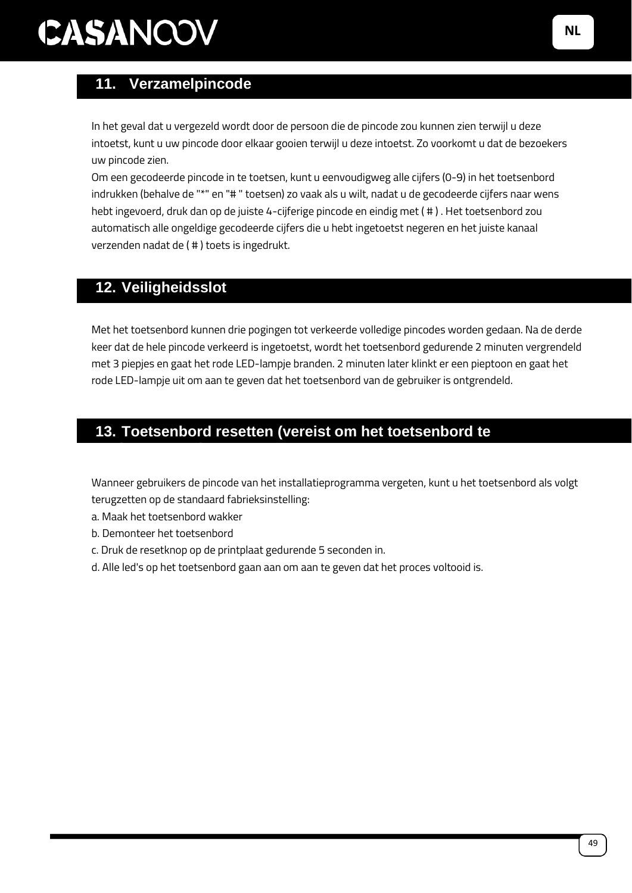### **11. Verzamelpincode**

In het geval dat u vergezeld wordt door de persoon die de pincode zou kunnen zien terwijl u deze intoetst, kunt u uw pincode door elkaar gooien terwijl u deze intoetst. Zo voorkomt u dat de bezoekers uw pincode zien.

Om een gecodeerde pincode in te toetsen, kunt u eenvoudigweg alle cijfers (0-9) in het toetsenbord indrukken (behalve de "\*" en "#" toetsen) zo vaak als u wilt, nadat u de gecodeerde cijfers naar wens hebt ingevoerd, druk dan op de juiste 4-cijferige pincode en eindig met ( # ) . Het toetsenbord zou automatisch alle ongeldige gecodeerde cijfers die u hebt ingetoetst negeren en het juiste kanaal verzenden nadat de ( # ) toets is ingedrukt.

### **12. Veiligheidsslot**

Met het toetsenbord kunnen drie pogingen tot verkeerde volledige pincodes worden gedaan. Na de derde keer dat de hele pincode verkeerd is ingetoetst, wordt het toetsenbord gedurende 2 minuten vergrendeld met 3 piepjes en gaat het rode LED-lampje branden. 2 minuten later klinkt er een pieptoon en gaat het rode LED-lampje uit om aan te geven dat het toetsenbord van de gebruiker is ontgrendeld.

### **13. Toetsenbord resetten (vereist om het toetsenbord te**

Wanneer gebruikers de pincode van het installatieprogramma vergeten, kunt u het toetsenbord als volgt terugzetten op de standaard fabrieksinstelling:

- a. Maak het toetsenbord wakker
- b. Demonteer het toetsenbord

**demonteren)** 

- c. Druk de resetknop op de printplaat gedurende 5 seconden in.
- d. Alle led's op het toetsenbord gaan aan om aan te geven dat het proces voltooid is.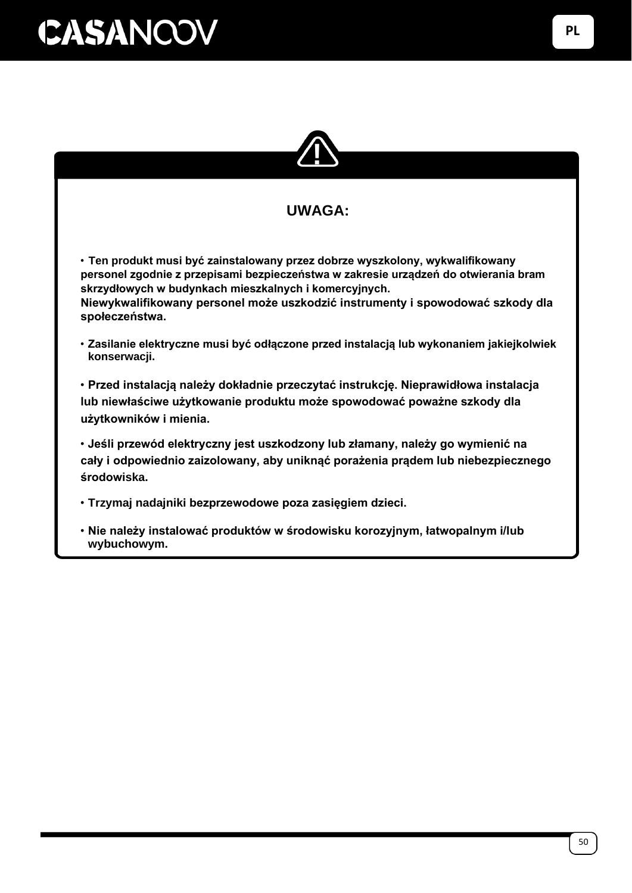

#### **UWAGA:**

• **Ten produkt musi być zainstalowany przez dobrze wyszkolony, wykwalifikowany personel zgodnie z przepisami bezpieczeństwa w zakresie urządzeń do otwierania bram skrzydłowych w budynkach mieszkalnych i komercyjnych. Niewykwalifikowany personel może uszkodzić instrumenty i spowodować szkody dla społeczeństwa.**

• **Zasilanie elektryczne musi być odłączone przed instalacją lub wykonaniem jakiejkolwiek konserwacji.**

• **Przed instalacją należy dokładnie przeczytać instrukcję. Nieprawidłowa instalacja lub niewłaściwe użytkowanie produktu może spowodować poważne szkody dla użytkowników i mienia.**

• **Jeśli przewód elektryczny jest uszkodzony lub złamany, należy go wymienić na cały i odpowiednio zaizolowany, aby uniknąć porażenia prądem lub niebezpiecznego środowiska.**

- **Trzymaj nadajniki bezprzewodowe poza zasięgiem dzieci.**
- **Nie należy instalować produktów w środowisku korozyjnym, łatwopalnym i/lub wybuchowym.**

**PL**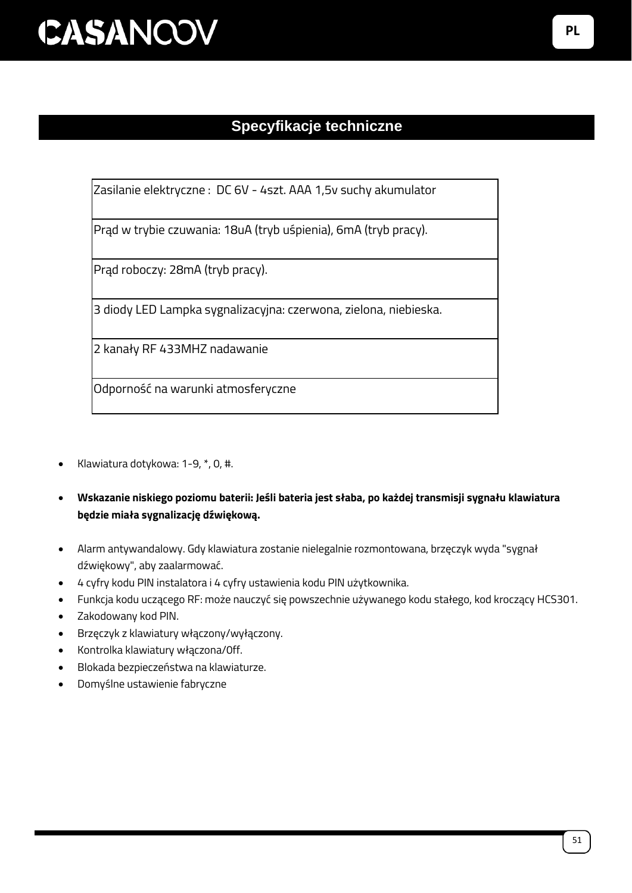### **Specyfikacje techniczne**

Zasilanie elektryczne : DC 6V - 4szt. AAA 1,5v suchy akumulator

Prąd w trybie czuwania: 18uA (tryb uśpienia), 6mA (tryb pracy).

Prąd roboczy: 28mA (tryb pracy).

3 diody LED Lampka sygnalizacyjna: czerwona, zielona, niebieska.

2 kanały RF 433MHZ nadawanie

Odporność na warunki atmosferyczne

- Klawiatura dotykowa: 1-9, \*, 0, #.
- **Wskazanie niskiego poziomu baterii: Jeśli bateria jest słaba, po każdej transmisji sygnału klawiatura będzie miała sygnalizację dźwiękową.**
- Alarm antywandalowy. Gdy klawiatura zostanie nielegalnie rozmontowana, brzęczyk wyda "sygnał dźwiękowy", aby zaalarmować.
- 4 cyfry kodu PIN instalatora i 4 cyfry ustawienia kodu PIN użytkownika.
- Funkcja kodu uczącego RF: może nauczyć się powszechnie używanego kodu stałego, kod kroczący HCS301.
- Zakodowany kod PIN.
- Brzęczyk z klawiatury włączony/wyłączony.
- Kontrolka klawiatury włączona/0ff.
- Blokada bezpieczeństwa na klawiaturze.
- Domyślne ustawienie fabryczne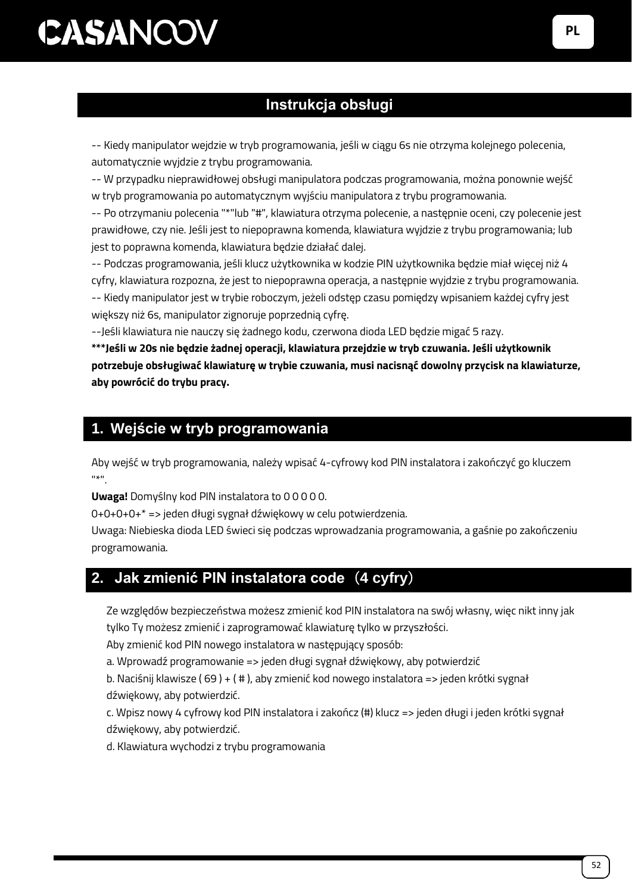### **Instrukcja obsługi**

-- Kiedy manipulator wejdzie w tryb programowania, jeśli w ciągu 6s nie otrzyma kolejnego polecenia, automatycznie wyjdzie z trybu programowania.

-- W przypadku nieprawidłowej obsługi manipulatora podczas programowania, można ponownie wejść w tryb programowania po automatycznym wyjściu manipulatora z trybu programowania.

-- Po otrzymaniu polecenia "\*"lub "#", klawiatura otrzyma polecenie, a następnie oceni, czy polecenie jest prawidłowe, czy nie. Jeśli jest to niepoprawna komenda, klawiatura wyjdzie z trybu programowania; lub jest to poprawna komenda, klawiatura będzie działać dalej.

-- Podczas programowania, jeśli klucz użytkownika w kodzie PIN użytkownika będzie miał więcej niż 4 cyfry, klawiatura rozpozna, że jest to niepoprawna operacja, a następnie wyjdzie z trybu programowania. -- Kiedy manipulator jest w trybie roboczym, jeżeli odstęp czasu pomiędzy wpisaniem każdej cyfry jest większy niż 6s, manipulator zignoruje poprzednią cyfrę.

--Jeśli klawiatura nie nauczy się żadnego kodu, czerwona dioda LED będzie migać 5 razy.

**\*\*\*Jeśli w 20s nie będzie żadnej operacji, klawiatura przejdzie w tryb czuwania. Jeśli użytkownik potrzebuje obsługiwać klawiaturę w trybie czuwania, musi nacisnąć dowolny przycisk na klawiaturze, aby powrócić do trybu pracy.**

#### **1. Wejście w tryb programowania**

Aby wejść w tryb programowania, należy wpisać 4-cyfrowy kod PIN instalatora i zakończyć go kluczem  $0\!\neq\!0$ 

**Uwaga!** Domyślny kod PIN instalatora to 0 0 0 0 0.

0+0+0+0+\* => jeden długi sygnał dźwiękowy w celu potwierdzenia.

Uwaga: Niebieska dioda LED świeci się podczas wprowadzania programowania, a gaśnie po zakończeniu programowania.

### **2. Jak zmienić PIN instalatora code**(**4 cyfry**)

Ze względów bezpieczeństwa możesz zmienić kod PIN instalatora na swój własny, więc nikt inny jak tylko Ty możesz zmienić i zaprogramować klawiaturę tylko w przyszłości.

Aby zmienić kod PIN nowego instalatora w następujący sposób:

a. Wprowadź programowanie => jeden długi sygnał dźwiękowy, aby potwierdzić

b. Naciśnij klawisze ( 69 ) + ( # ), aby zmienić kod nowego instalatora => jeden krótki sygnał dźwiękowy, aby potwierdzić.

c. Wpisz nowy 4 cyfrowy kod PIN instalatora i zakończ (#) klucz => jeden długi i jeden krótki sygnał dźwiękowy, aby potwierdzić.

d. Klawiatura wychodzi z trybu programowania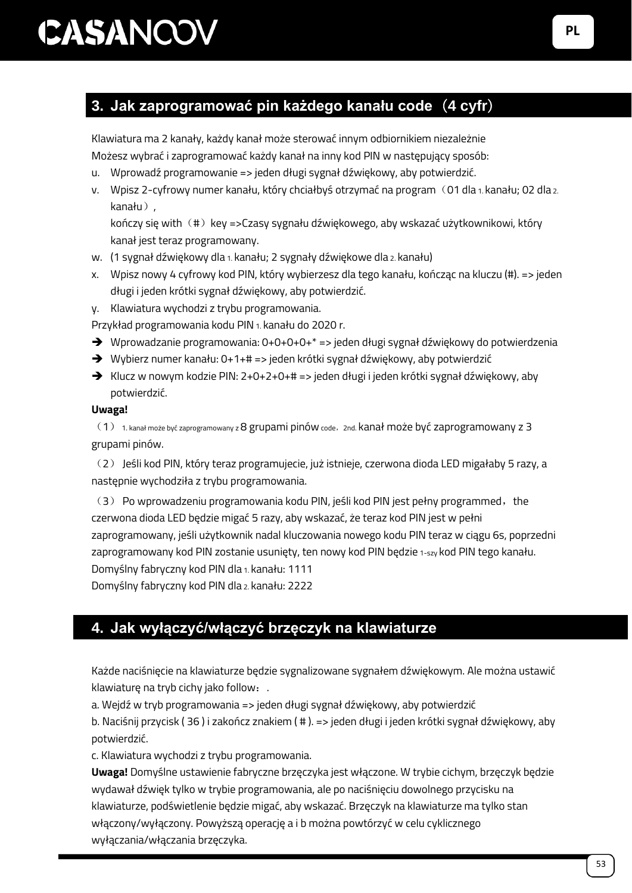### **3. Jak zaprogramować pin każdego kanału code**(**4 cyfr**)

Klawiatura ma 2 kanały, każdy kanał może sterować innym odbiornikiem niezależnie Możesz wybrać i zaprogramować każdy kanał na inny kod PIN w następujący sposób:

- u. Wprowadź programowanie => jeden długi sygnał dźwiękowy, aby potwierdzić.
- v. Wpisz 2-cyfrowy numer kanału, który chciałbyś otrzymać na program (01 dla 1. kanału; 02 dla 2. kanału),

kończy się with (#) key =>Czasy sygnału dźwiękowego, aby wskazać użytkownikowi, który kanał jest teraz programowany.

- w. (1 sygnał dźwiękowy dla 1. kanału; 2 sygnały dźwiękowe dla 2. kanału)
- x. Wpisz nowy 4 cyfrowy kod PIN, który wybierzesz dla tego kanału, kończąc na kluczu (#). => jeden długi i jeden krótki sygnał dźwiękowy, aby potwierdzić.
- y. Klawiatura wychodzi z trybu programowania.

Przykład programowania kodu PIN<sub>1</sub>. kanału do 2020 r.

- ➔ Wprowadzanie programowania: 0+0+0+0+\* => jeden długi sygnał dźwiękowy do potwierdzenia
- ➔ Wybierz numer kanału: 0+1+# => jeden krótki sygnał dźwiękowy, aby potwierdzić
- ➔ Klucz w nowym kodzie PIN: 2+0+2+0+# => jeden długi i jeden krótki sygnał dźwiękowy, aby potwierdzić.

#### **Uwaga!**

 $(1)$  1. kanał może być zaprogramowany z 8 grupami pinów code, 2nd. kanał może być zaprogramowany z 3 grupami pinów.

(2) Jeśli kod PIN, który teraz programujecie, już istnieje, czerwona dioda LED migałaby 5 razy, a następnie wychodziła z trybu programowania.

(3) Po wprowadzeniu programowania kodu PIN, jeśli kod PIN jest pełny programmed, the czerwona dioda LED będzie migać 5 razy, aby wskazać, że teraz kod PIN jest w pełni zaprogramowany, jeśli użytkownik nadal kluczowania nowego kodu PIN teraz w ciągu 6s, poprzedni zaprogramowany kod PIN zostanie usunięty, ten nowy kod PIN będzie 1-szy kod PIN tego kanału. Domyślny fabryczny kod PIN dla 1. kanału: 1111

Domyślny fabryczny kod PIN dla 2. kanału: 2222

### **4. Jak wyłączyć/włączyć brzęczyk na klawiaturze**

Każde naciśnięcie na klawiaturze będzie sygnalizowane sygnałem dźwiękowym. Ale można ustawić klawiaturę na tryb cichy jako follow:.

a. Wejdź w tryb programowania => jeden długi sygnał dźwiękowy, aby potwierdzić

b. Naciśnij przycisk ( 36 ) i zakończ znakiem ( # ). => jeden długi i jeden krótki sygnał dźwiękowy, aby potwierdzić.

c. Klawiatura wychodzi z trybu programowania.

**Uwaga!** Domyślne ustawienie fabryczne brzęczyka jest włączone. W trybie cichym, brzęczyk będzie wydawał dźwięk tylko w trybie programowania, ale po naciśnięciu dowolnego przycisku na klawiaturze, podświetlenie będzie migać, aby wskazać. Brzęczyk na klawiaturze ma tylko stan włączony/wyłączony. Powyższą operację a i b można powtórzyć w celu cyklicznego wyłączania/włączania brzęczyka.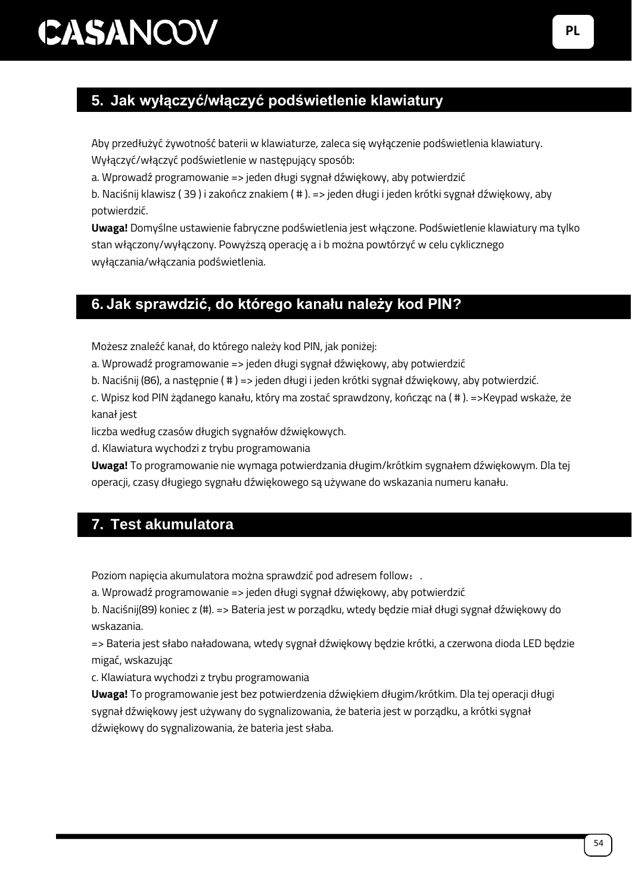### **5. Jak wyłączyć/włączyć podświetlenie klawiatury**

Aby przedłużyć żywotność baterii w klawiaturze, zaleca się wyłączenie podświetlenia klawiatury. Wyłączyć/włączyć podświetlenie w następujący sposób:

a. Wprowadź programowanie => jeden długi sygnał dźwiękowy, aby potwierdzić

b. Naciśnij klawisz ( 39 ) i zakończ znakiem ( # ). => jeden długi i jeden krótki sygnał dźwiękowy, aby potwierdzić.

**Uwaga!** Domyślne ustawienie fabryczne podświetlenia jest włączone. Podświetlenie klawiatury ma tylko stan włączony/wyłączony. Powyższą operację a i b można powtórzyć w celu cyklicznego wyłączania/włączania podświetlenia.

#### **6. Jak sprawdzić, do którego kanału należy kod PIN?**

Możesz znaleźć kanał, do którego należy kod PIN, jak poniżej:

a. Wprowadź programowanie => jeden długi sygnał dźwiękowy, aby potwierdzić

b. Naciśnij (86), a następnie ( # ) => jeden długi i jeden krótki sygnał dźwiękowy, aby potwierdzić.

c. Wpisz kod PIN żądanego kanału, który ma zostać sprawdzony, kończąc na ( # ). =>Keypad wskaże, że kanał jest

liczba według czasów długich sygnałów dźwiękowych.

d. Klawiatura wychodzi z trybu programowania

**Uwaga!** To programowanie nie wymaga potwierdzania długim/krótkim sygnałem dźwiękowym. Dla tej operacji, czasy długiego sygnału dźwiękowego są używane do wskazania numeru kanału.

### **7. Test akumulatora**

Poziom napięcia akumulatora można sprawdzić pod adresem follow:.

a. Wprowadź programowanie => jeden długi sygnał dźwiękowy, aby potwierdzić

b. Naciśnij(89) koniec z (#). => Bateria jest w porządku, wtedy będzie miał długi sygnał dźwiękowy do wskazania.

=> Bateria jest słabo naładowana, wtedy sygnał dźwiękowy będzie krótki, a czerwona dioda LED będzie migać, wskazując

c. Klawiatura wychodzi z trybu programowania

**Uwaga!** To programowanie jest bez potwierdzenia dźwiękiem długim/krótkim. Dla tej operacji długi sygnał dźwiękowy jest używany do sygnalizowania, że bateria jest w porządku, a krótki sygnał dźwiękowy do sygnalizowania, że bateria jest słaba.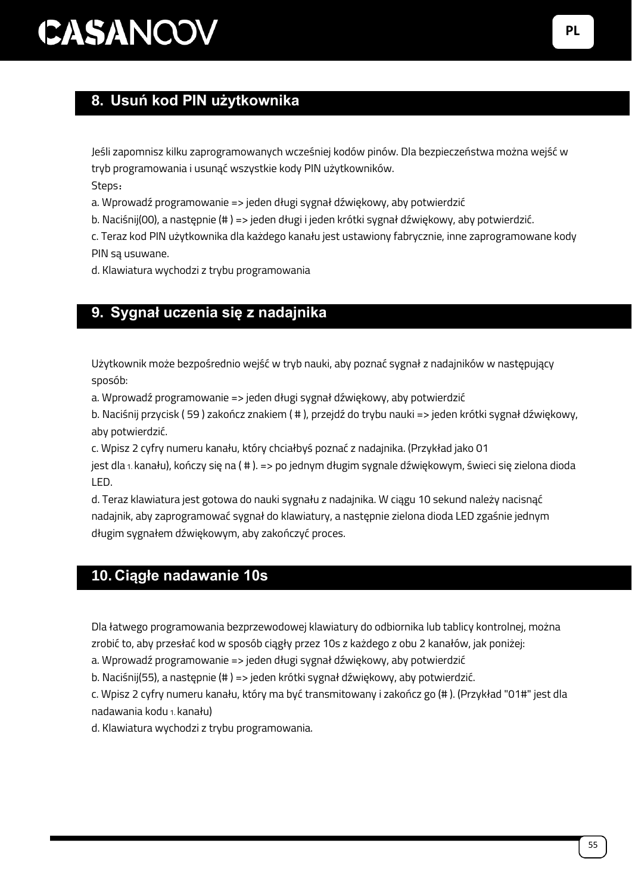### **8. Usuń kod PIN użytkownika**

Jeśli zapomnisz kilku zaprogramowanych wcześniej kodów pinów. Dla bezpieczeństwa można wejść w tryb programowania i usunąć wszystkie kody PIN użytkowników.

Steps:

a. Wprowadź programowanie => jeden długi sygnał dźwiękowy, aby potwierdzić

b. Naciśnij(00), a następnie (# ) => jeden długi i jeden krótki sygnał dźwiękowy, aby potwierdzić.

c. Teraz kod PIN użytkownika dla każdego kanału jest ustawiony fabrycznie, inne zaprogramowane kody PIN są usuwane.

d. Klawiatura wychodzi z trybu programowania

#### **9. Sygnał uczenia się z nadajnika**

Użytkownik może bezpośrednio wejść w tryb nauki, aby poznać sygnał z nadajników w następujący sposób:

a. Wprowadź programowanie => jeden długi sygnał dźwiękowy, aby potwierdzić

b. Naciśnij przycisk ( 59 ) zakończ znakiem ( # ), przejdź do trybu nauki => jeden krótki sygnał dźwiękowy, aby potwierdzić.

c. Wpisz 2 cyfry numeru kanału, który chciałbyś poznać z nadajnika. (Przykład jako 01

jest dla 1. kanału), kończy się na ( # ). => po jednym długim sygnale dźwiękowym, świeci się zielona dioda LED.

d. Teraz klawiatura jest gotowa do nauki sygnału z nadajnika. W ciągu 10 sekund należy nacisnąć nadajnik, aby zaprogramować sygnał do klawiatury, a następnie zielona dioda LED zgaśnie jednym długim sygnałem dźwiękowym, aby zakończyć proces.

### **10. Ciągłe nadawanie 10s**

Dla łatwego programowania bezprzewodowej klawiatury do odbiornika lub tablicy kontrolnej, można zrobić to, aby przesłać kod w sposób ciągły przez 10s z każdego z obu 2 kanałów, jak poniżej:

a. Wprowadź programowanie => jeden długi sygnał dźwiękowy, aby potwierdzić

b. Naciśnij(55), a następnie (# ) => jeden krótki sygnał dźwiękowy, aby potwierdzić.

c. Wpisz 2 cyfry numeru kanału, który ma być transmitowany i zakończ go (# ). (Przykład "01#" jest dla nadawania kodu 1. kanału)

d. Klawiatura wychodzi z trybu programowania.

**PL**